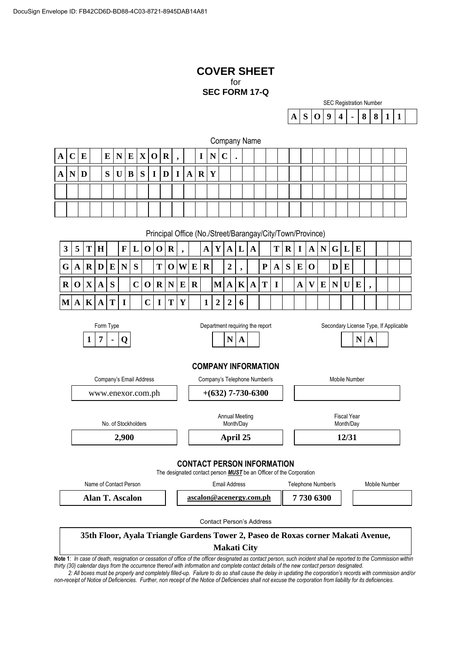# **COVER SHEET** for **SEC FORM 17-Q**

| <b>SEC Registration Number</b> |                                     |  |  |  |  |  |  |  |  |  |
|--------------------------------|-------------------------------------|--|--|--|--|--|--|--|--|--|
|                                | $A   S   O   9   4   -   8   8   1$ |  |  |  |  |  |  |  |  |  |

|   | Company Name |   |  |   |  |   |             |             |              |              |              |         |   |  |  |  |  |  |  |  |  |
|---|--------------|---|--|---|--|---|-------------|-------------|--------------|--------------|--------------|---------|---|--|--|--|--|--|--|--|--|
| A |              | E |  |   |  |   | E N E X O R |             |              |              |              | I       |   |  |  |  |  |  |  |  |  |
| A |              |   |  | S |  | B | S           | $\mathbf I$ | $\mathbf{D}$ | $\mathbf{I}$ | $\mathbf{A}$ | $\bf R$ | Y |  |  |  |  |  |  |  |  |
|   |              |   |  |   |  |   |             |             |              |              |              |         |   |  |  |  |  |  |  |  |  |
|   |              |   |  |   |  |   |             |             |              |              |              |         |   |  |  |  |  |  |  |  |  |

Principal Office (No./Street/Barangay/City/Town/Province)

| $\overline{3}$ | 5 T H                                                                 |  |  |  |         |  | $ \mathbf{F} \mathbf{L} \mathbf{O} \mathbf{O} \mathbf{R} $ , $ \mathbf{A} \mathbf{Y} \mathbf{A} \mathbf{L} \mathbf{A}   \mathbf{T} \mathbf{R} \mathbf{I} \mathbf{A} \mathbf{N} \mathbf{G} \mathbf{L} \mathbf{E}$ |  |  |  |  |                |  |  |  |
|----------------|-----------------------------------------------------------------------|--|--|--|---------|--|------------------------------------------------------------------------------------------------------------------------------------------------------------------------------------------------------------------|--|--|--|--|----------------|--|--|--|
| G              |                                                                       |  |  |  |         |  | $ \mathbf{A} \mathbf{R} \mathbf{D} \mathbf{E} \mathbf{N} \mathbf{S}   \mathbf{T} \mathbf{O} \mathbf{W} \mathbf{E} \mathbf{R}   2 $ ,     $ \mathbf{P} \mathbf{A} \mathbf{S} \mathbf{E} \mathbf{O} $              |  |  |  |  | $\blacksquare$ |  |  |  |
|                | $R$ O $X$ $A$ $S$                                                     |  |  |  |         |  | $ C O R N E R$ $ M A K A T I $ $A V E N U E $                                                                                                                                                                    |  |  |  |  |                |  |  |  |
|                | $ \mathbf{M} \mathbf{A} \mathbf{K} \mathbf{A} \mathbf{T} \mathbf{I} $ |  |  |  | C I T Y |  | 1226                                                                                                                                                                                                             |  |  |  |  |                |  |  |  |



Form Type **Example 2** Department requiring the report Secondary License Type, If Applicable

# **COMPANY INFORMATION**

Company's Email Address Company's Telephone Number/s Company's Telephone Number/s www.enexor.com.ph **+(632) 7-730-6300** No. of Stockholders Annual Meeting Month/Day Fiscal Year Month/Dav **2,900 April 25 12/31 CONTACT PERSON INFORMATION**

The designated contact person *MUST* be an Officer of the Corporation

| Name of Contact Person | Email Address           | Telephone Number/s | Mobile Number |
|------------------------|-------------------------|--------------------|---------------|
| Alan T. Ascalon        | ascalon@acenergy.com.ph | 7 730 6300         |               |
|                        |                         |                    |               |

Contact Person's Address

# **35th Floor, Ayala Triangle Gardens Tower 2, Paseo de Roxas corner Makati Avenue, Makati City**

**Note 1**: *In case of death, resignation or cessation of office of the officer designated as contact person, such incident shall be reported to the Commission within thirty (30) calendar days from the occurrence thereof with information and complete contact details of the new contact person designated.*

*2: All boxes must be properly and completely filled-up. Failure to do so shall cause the delay in updating the corporation's records with commission and/or non-receipt of Notice of Deficiencies. Further, non receipt of the Notice of Deficiencies shall not excuse the corporation from liability for its deficiencies.*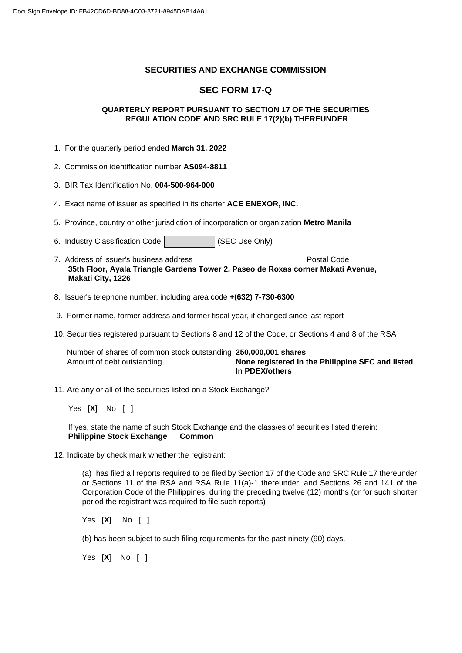# **SECURITIES AND EXCHANGE COMMISSION**

# **SEC FORM 17-Q**

# **QUARTERLY REPORT PURSUANT TO SECTION 17 OF THE SECURITIES REGULATION CODE AND SRC RULE 17(2)(b) THEREUNDER**

- 1. For the quarterly period ended **March 31, 2022**
- 2. Commission identification number **AS094-8811**
- 3. BIR Tax Identification No. **004-500-964-000**
- 4. Exact name of issuer as specified in its charter **ACE ENEXOR, INC.**
- 5. Province, country or other jurisdiction of incorporation or organization **Metro Manila**
- 6. Industry Classification Code: (SEC Use Only)
- 7. Address of issuer's business address Postal Code **35th Floor, Ayala Triangle Gardens Tower 2, Paseo de Roxas corner Makati Avenue, Makati City, 1226**
- 8. Issuer's telephone number, including area code **+(632) 7-730-6300**
- 9. Former name, former address and former fiscal year, if changed since last report
- 10. Securities registered pursuant to Sections 8 and 12 of the Code, or Sections 4 and 8 of the RSA

 Number of shares of common stock outstanding **250,000,001 shares** Amount of debt outstanding **None registered in the Philippine SEC and listed In PDEX/others**

11. Are any or all of the securities listed on a Stock Exchange?

Yes [**X**] No [ ]

If yes, state the name of such Stock Exchange and the class/es of securities listed therein: **Philippine Stock Exchange Common**

12. Indicate by check mark whether the registrant:

(a) has filed all reports required to be filed by Section 17 of the Code and SRC Rule 17 thereunder or Sections 11 of the RSA and RSA Rule 11(a)-1 thereunder, and Sections 26 and 141 of the Corporation Code of the Philippines, during the preceding twelve (12) months (or for such shorter period the registrant was required to file such reports)

Yes [**X**] No [ ]

(b) has been subject to such filing requirements for the past ninety (90) days.

Yes [**X]** No [ ]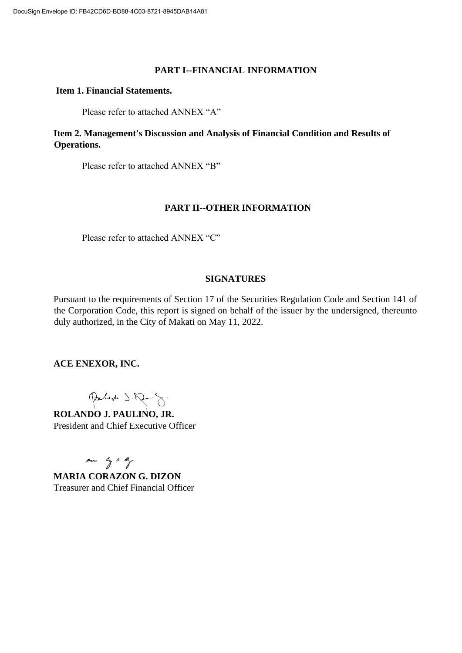# **PART I--FINANCIAL INFORMATION**

# **Item 1. Financial Statements.**

Please refer to attached ANNEX "A"

**Item 2. Management's Discussion and Analysis of Financial Condition and Results of Operations.** 

Please refer to attached ANNEX "B"

# **PART II--OTHER INFORMATION**

Please refer to attached ANNEX "C"

# **SIGNATURES**

Pursuant to the requirements of Section 17 of the Securities Regulation Code and Section 141 of the Corporation Code, this report is signed on behalf of the issuer by the undersigned, thereunto duly authorized, in the City of Makati on May 11, 2022.

**ACE ENEXOR, INC.** 

Parlin S. Q - 8.

**ROLANDO J. PAULINO, JR.** President and Chief Executive Officer

Am ag & By

**MARIA CORAZON G. DIZON**  Treasurer and Chief Financial Officer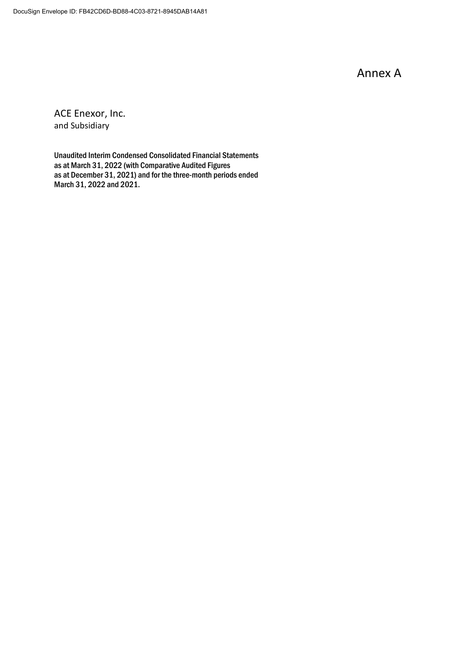Annex A

ACE Enexor, Inc. and Subsidiary

Unaudited Interim Condensed Consolidated Financial Statements as at March 31, 2022 (with Comparative Audited Figures as at December 31, 2021) and for the three-month periods ended March 31, 2022 and 2021.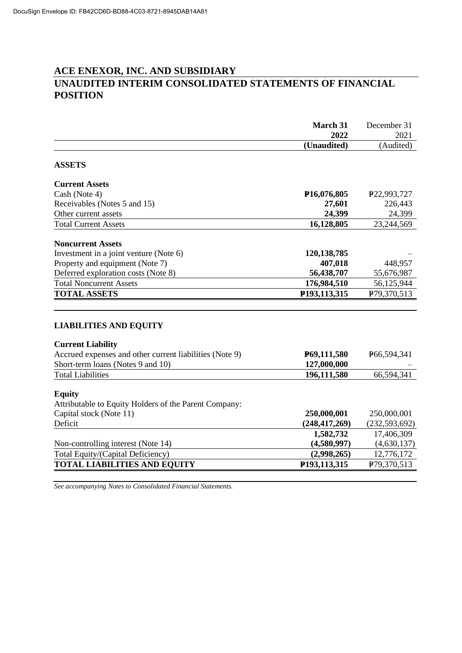# **ACE ENEXOR, INC. AND SUBSIDIARY UNAUDITED INTERIM CONSOLIDATED STATEMENTS OF FINANCIAL POSITION**

|                                                                                  | March 31                 | December 31     |
|----------------------------------------------------------------------------------|--------------------------|-----------------|
|                                                                                  | 2022                     | 2021            |
|                                                                                  | (Unaudited)              | (Audited)       |
| <b>ASSETS</b>                                                                    |                          |                 |
| <b>Current Assets</b>                                                            |                          |                 |
| Cash (Note 4)                                                                    | P <sub>16</sub> ,076,805 | P22,993,727     |
| Receivables (Notes 5 and 15)                                                     | 27,601                   | 226,443         |
| Other current assets                                                             | 24,399                   | 24,399          |
| <b>Total Current Assets</b>                                                      | 16,128,805               | 23,244,569      |
| <b>Noncurrent Assets</b>                                                         |                          |                 |
| Investment in a joint venture (Note 6)                                           | 120, 138, 785            |                 |
| Property and equipment (Note 7)                                                  | 407,018                  | 448,957         |
| Deferred exploration costs (Note 8)                                              | 56,438,707               | 55,676,987      |
| <b>Total Noncurrent Assets</b>                                                   | 176,984,510              | 56,125,944      |
| <b>TOTAL ASSETS</b>                                                              | P193,113,315             | P79,370,513     |
|                                                                                  |                          |                 |
| <b>LIABILITIES AND EQUITY</b>                                                    |                          |                 |
| <b>Current Liability</b>                                                         |                          |                 |
| Accrued expenses and other current liabilities (Note 9)                          | P69,111,580              | P66,594,341     |
| Short-term loans (Notes 9 and 10)                                                | 127,000,000              |                 |
| <b>Total Liabilities</b>                                                         | 196,111,580              | 66,594,341      |
|                                                                                  |                          |                 |
| <b>Equity</b>                                                                    |                          |                 |
| Attributable to Equity Holders of the Parent Company:<br>Capital stock (Note 11) | 250,000,001              | 250,000,001     |
| Deficit                                                                          | (248, 417, 269)          | (232, 593, 692) |
|                                                                                  | 1,582,732                | 17,406,309      |
| Non-controlling interest (Note 14)                                               | (4,580,997)              | (4,630,137)     |
| Total Equity/(Capital Deficiency)                                                | (2,998,265)              | 12,776,172      |
| <b>TOTAL LIABILITIES AND EQUITY</b>                                              | P193,113,315             | P79,370,513     |
|                                                                                  |                          |                 |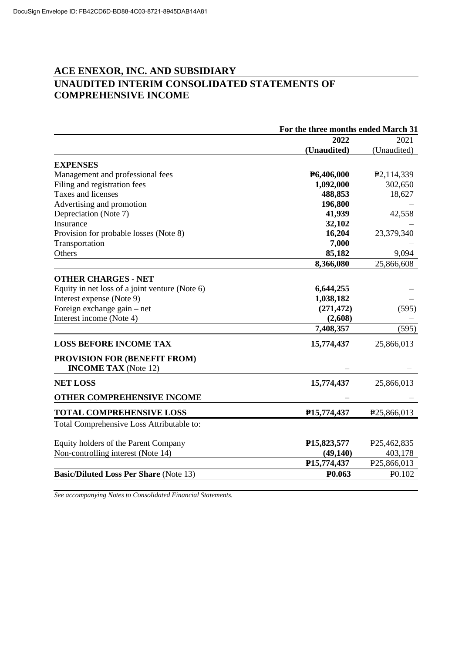# **ACE ENEXOR, INC. AND SUBSIDIARY UNAUDITED INTERIM CONSOLIDATED STATEMENTS OF COMPREHENSIVE INCOME**

| For the three months ended March 31 |                                                                                                                                |  |  |  |  |
|-------------------------------------|--------------------------------------------------------------------------------------------------------------------------------|--|--|--|--|
| 2022                                | 2021                                                                                                                           |  |  |  |  |
| (Unaudited)                         | (Unaudited)                                                                                                                    |  |  |  |  |
|                                     |                                                                                                                                |  |  |  |  |
|                                     | P <sub>2</sub> ,114,339                                                                                                        |  |  |  |  |
|                                     | 302,650                                                                                                                        |  |  |  |  |
| 488,853                             | 18,627                                                                                                                         |  |  |  |  |
|                                     |                                                                                                                                |  |  |  |  |
| 41,939                              | 42,558                                                                                                                         |  |  |  |  |
| 32,102                              |                                                                                                                                |  |  |  |  |
| 16,204                              | 23,379,340                                                                                                                     |  |  |  |  |
| 7,000                               |                                                                                                                                |  |  |  |  |
| 85,182                              | 9,094                                                                                                                          |  |  |  |  |
| 8,366,080                           | 25,866,608                                                                                                                     |  |  |  |  |
|                                     |                                                                                                                                |  |  |  |  |
|                                     |                                                                                                                                |  |  |  |  |
|                                     |                                                                                                                                |  |  |  |  |
|                                     | (595)                                                                                                                          |  |  |  |  |
|                                     |                                                                                                                                |  |  |  |  |
| 7,408,357                           | (595)                                                                                                                          |  |  |  |  |
| 15,774,437                          | 25,866,013                                                                                                                     |  |  |  |  |
|                                     |                                                                                                                                |  |  |  |  |
|                                     |                                                                                                                                |  |  |  |  |
| 15,774,437                          | 25,866,013                                                                                                                     |  |  |  |  |
|                                     |                                                                                                                                |  |  |  |  |
| P <sub>15</sub> , 774, 437          | P <sub>25</sub> ,866,013                                                                                                       |  |  |  |  |
|                                     |                                                                                                                                |  |  |  |  |
|                                     | P <sub>25</sub> ,462,835                                                                                                       |  |  |  |  |
|                                     | 403,178                                                                                                                        |  |  |  |  |
| P15,774,437                         | P <sub>25</sub> ,866,013                                                                                                       |  |  |  |  |
| P <sub>0.063</sub>                  | P <sub>0.102</sub>                                                                                                             |  |  |  |  |
|                                     | P6,406,000<br>1,092,000<br>196,800<br>6,644,255<br>1,038,182<br>(271, 472)<br>(2,608)<br>P <sub>15</sub> ,823,577<br>(49, 140) |  |  |  |  |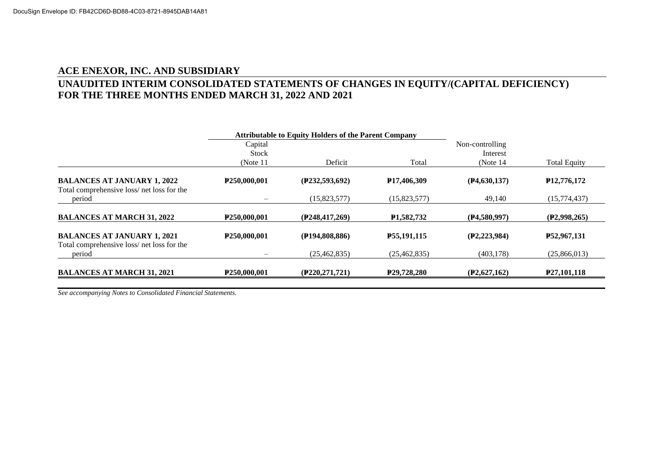# **ACE ENEXOR, INC. AND SUBSIDIARY UNAUDITED INTERIM CONSOLIDATED STATEMENTS OF CHANGES IN EQUITY/(CAPITAL DEFICIENCY) FOR THE THREE MONTHS ENDED MARCH 31, 2022 AND 2021**

|                                                                                 |                           | <b>Attributable to Equity Holders of the Parent Company</b> |                            |                             |                            |
|---------------------------------------------------------------------------------|---------------------------|-------------------------------------------------------------|----------------------------|-----------------------------|----------------------------|
|                                                                                 | Capital<br><b>Stock</b>   |                                                             |                            | Non-controlling<br>Interest |                            |
|                                                                                 | (Note $11$ )              | Deficit                                                     | Total                      | (Note $14$ )                | <b>Total Equity</b>        |
| <b>BALANCES AT JANUARY 1, 2022</b><br>Total comprehensive loss/net loss for the | P250,000,001              | (P232, 593, 692)                                            | P <sub>17</sub> ,406,309   | (P4, 630, 137)              | P <sub>12</sub> , 776, 172 |
| period                                                                          |                           | (15,823,577)                                                | (15,823,577)               | 49,140                      | (15,774,437)               |
| <b>BALANCES AT MARCH 31, 2022</b>                                               | P <sub>250</sub> ,000,001 | (P248, 417, 269)                                            | P <sub>1.582</sub> .732    | (P4,580,997)                | (P2,998,265)               |
| <b>BALANCES AT JANUARY 1, 2021</b><br>Total comprehensive loss/net loss for the | P <sub>250</sub> ,000,001 | (P194,808,886)                                              | P55,191,115                | (P2, 223, 984)              | P <sub>52</sub> , 967, 131 |
| period                                                                          | -                         | (25, 462, 835)                                              | (25, 462, 835)             | (403.178)                   | (25,866,013)               |
| <b>BALANCES AT MARCH 31, 2021</b>                                               | P <sub>250</sub> ,000,001 | (P220, 271, 721)                                            | P <sub>29</sub> , 728, 280 | (P2,627,162)                | P <sub>27</sub> , 101, 118 |
|                                                                                 |                           |                                                             |                            |                             |                            |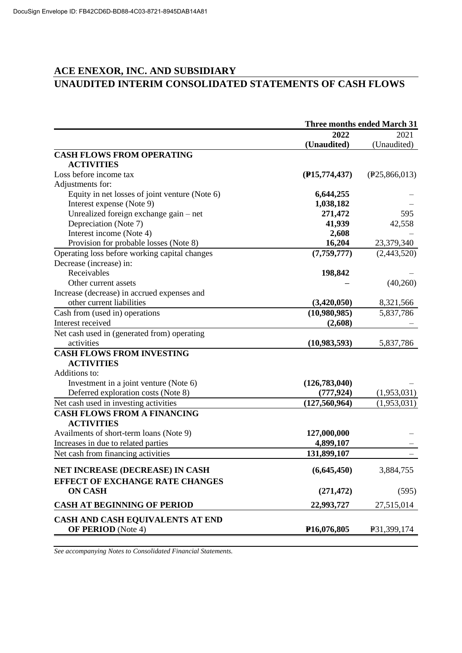# **ACE ENEXOR, INC. AND SUBSIDIARY UNAUDITED INTERIM CONSOLIDATED STATEMENTS OF CASH FLOWS**

|                                                | <b>Three months ended March 31</b> |               |  |
|------------------------------------------------|------------------------------------|---------------|--|
|                                                | 2022                               | 2021          |  |
|                                                | (Unaudited)                        | (Unaudited)   |  |
| <b>CASH FLOWS FROM OPERATING</b>               |                                    |               |  |
| <b>ACTIVITIES</b>                              |                                    |               |  |
| Loss before income tax                         | (P15, 774, 437)                    | (P25,866,013) |  |
| Adjustments for:                               |                                    |               |  |
| Equity in net losses of joint venture (Note 6) | 6,644,255                          |               |  |
| Interest expense (Note 9)                      | 1,038,182                          |               |  |
| Unrealized foreign exchange gain – net         | 271,472                            | 595           |  |
| Depreciation (Note 7)                          | 41,939                             | 42,558        |  |
| Interest income (Note 4)                       | 2,608                              |               |  |
| Provision for probable losses (Note 8)         | 16,204                             | 23,379,340    |  |
| Operating loss before working capital changes  | (7, 759, 777)                      | (2,443,520)   |  |
| Decrease (increase) in:                        |                                    |               |  |
| Receivables                                    | 198,842                            |               |  |
| Other current assets                           |                                    | (40,260)      |  |
| Increase (decrease) in accrued expenses and    |                                    |               |  |
| other current liabilities                      | (3,420,050)                        | 8,321,566     |  |
| Cash from (used in) operations                 | (10,980,985)                       | 5,837,786     |  |
| Interest received                              | (2,608)                            |               |  |
| Net cash used in (generated from) operating    |                                    |               |  |
| activities                                     | (10,983,593)                       | 5,837,786     |  |
| <b>CASH FLOWS FROM INVESTING</b>               |                                    |               |  |
| <b>ACTIVITIES</b>                              |                                    |               |  |
| Additions to:                                  |                                    |               |  |
| Investment in a joint venture (Note 6)         | (126, 783, 040)                    |               |  |
| Deferred exploration costs (Note 8)            | (777, 924)                         | (1,953,031)   |  |
| Net cash used in investing activities          | (127, 560, 964)                    | (1,953,031)   |  |
| <b>CASH FLOWS FROM A FINANCING</b>             |                                    |               |  |
| <b>ACTIVITIES</b>                              |                                    |               |  |
| Availments of short-term loans (Note 9)        | 127,000,000                        |               |  |
| Increases in due to related parties            | 4,899,107                          |               |  |
| Net cash from financing activities             | 131,899,107                        |               |  |
| NET INCREASE (DECREASE) IN CASH                | (6,645,450)                        | 3,884,755     |  |
| <b>EFFECT OF EXCHANGE RATE CHANGES</b>         |                                    |               |  |
| <b>ON CASH</b>                                 | (271, 472)                         | (595)         |  |
| <b>CASH AT BEGINNING OF PERIOD</b>             | 22,993,727                         | 27,515,014    |  |
| CASH AND CASH EQUIVALENTS AT END               |                                    |               |  |
| <b>OF PERIOD</b> (Note 4)                      | P <sub>16</sub> ,076,805           | P31,399,174   |  |
|                                                |                                    |               |  |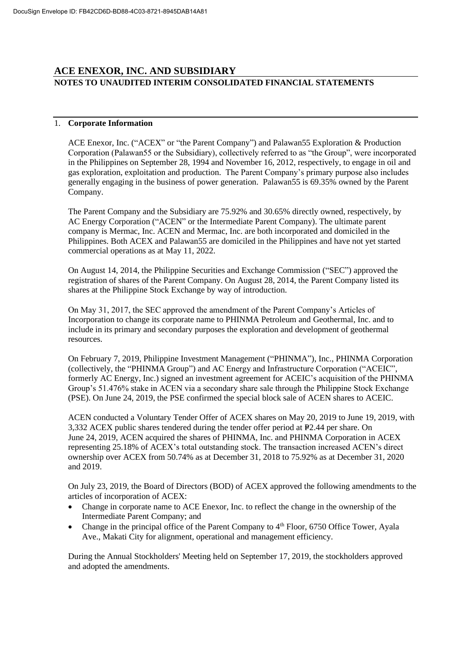# **ACE ENEXOR, INC. AND SUBSIDIARY NOTES TO UNAUDITED INTERIM CONSOLIDATED FINANCIAL STATEMENTS**

# 1. **Corporate Information**

ACE Enexor, Inc. ("ACEX" or "the Parent Company") and Palawan55 Exploration & Production Corporation (Palawan55 or the Subsidiary), collectively referred to as "the Group", were incorporated in the Philippines on September 28, 1994 and November 16, 2012, respectively, to engage in oil and gas exploration, exploitation and production. The Parent Company's primary purpose also includes generally engaging in the business of power generation. Palawan55 is 69.35% owned by the Parent Company.

The Parent Company and the Subsidiary are 75.92% and 30.65% directly owned, respectively, by AC Energy Corporation ("ACEN" or the Intermediate Parent Company). The ultimate parent company is Mermac, Inc. ACEN and Mermac, Inc. are both incorporated and domiciled in the Philippines. Both ACEX and Palawan55 are domiciled in the Philippines and have not yet started commercial operations as at May 11, 2022.

On August 14, 2014, the Philippine Securities and Exchange Commission ("SEC") approved the registration of shares of the Parent Company. On August 28, 2014, the Parent Company listed its shares at the Philippine Stock Exchange by way of introduction.

On May 31, 2017, the SEC approved the amendment of the Parent Company's Articles of Incorporation to change its corporate name to PHINMA Petroleum and Geothermal, Inc. and to include in its primary and secondary purposes the exploration and development of geothermal resources.

On February 7, 2019, Philippine Investment Management ("PHINMA"), Inc., PHINMA Corporation (collectively, the "PHINMA Group") and AC Energy and Infrastructure Corporation ("ACEIC", formerly AC Energy, Inc.) signed an investment agreement for ACEIC's acquisition of the PHINMA Group's 51.476% stake in ACEN via a secondary share sale through the Philippine Stock Exchange (PSE). On June 24, 2019, the PSE confirmed the special block sale of ACEN shares to ACEIC.

ACEN conducted a Voluntary Tender Offer of ACEX shares on May 20, 2019 to June 19, 2019, with  $3,332$  ACEX public shares tendered during the tender offer period at P2.44 per share. On June 24, 2019, ACEN acquired the shares of PHINMA, Inc. and PHINMA Corporation in ACEX representing 25.18% of ACEX's total outstanding stock. The transaction increased ACEN's direct ownership over ACEX from 50.74% as at December 31, 2018 to 75.92% as at December 31, 2020 and 2019.

On July 23, 2019, the Board of Directors (BOD) of ACEX approved the following amendments to the articles of incorporation of ACEX:

- Change in corporate name to ACE Enexor, Inc. to reflect the change in the ownership of the Intermediate Parent Company; and
- Change in the principal office of the Parent Company to  $4<sup>th</sup>$  Floor, 6750 Office Tower, Ayala Ave., Makati City for alignment, operational and management efficiency.

During the Annual Stockholders' Meeting held on September 17, 2019, the stockholders approved and adopted the amendments.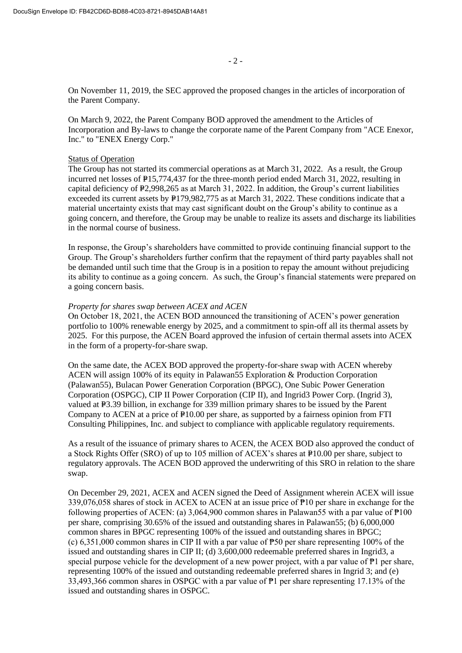On November 11, 2019, the SEC approved the proposed changes in the articles of incorporation of the Parent Company.

On March 9, 2022, the Parent Company BOD approved the amendment to the Articles of Incorporation and By-laws to change the corporate name of the Parent Company from "ACE Enexor, Inc." to "ENEX Energy Corp."

#### Status of Operation

The Group has not started its commercial operations as at March 31, 2022. As a result, the Group incurred net losses of  $P15,774,437$  for the three-month period ended March 31, 2022, resulting in capital deficiency of P2,998,265 as at March 31, 2022. In addition, the Group's current liabilities exceeded its current assets by  $P179,982,775$  as at March 31, 2022. These conditions indicate that a material uncertainty exists that may cast significant doubt on the Group's ability to continue as a going concern, and therefore, the Group may be unable to realize its assets and discharge its liabilities in the normal course of business.

In response, the Group's shareholders have committed to provide continuing financial support to the Group. The Group's shareholders further confirm that the repayment of third party payables shall not be demanded until such time that the Group is in a position to repay the amount without prejudicing its ability to continue as a going concern. As such, the Group's financial statements were prepared on a going concern basis.

#### *Property for shares swap between ACEX and ACEN*

On October 18, 2021, the ACEN BOD announced the transitioning of ACEN's power generation portfolio to 100% renewable energy by 2025, and a commitment to spin-off all its thermal assets by 2025. For this purpose, the ACEN Board approved the infusion of certain thermal assets into ACEX in the form of a property-for-share swap.

On the same date, the ACEX BOD approved the property-for-share swap with ACEN whereby ACEN will assign 100% of its equity in Palawan55 Exploration & Production Corporation (Palawan55), Bulacan Power Generation Corporation (BPGC), One Subic Power Generation Corporation (OSPGC), CIP II Power Corporation (CIP II), and Ingrid3 Power Corp. (Ingrid 3), valued at P<sub>3.39</sub> billion, in exchange for 339 million primary shares to be issued by the Parent Company to ACEN at a price of  $P10.00$  per share, as supported by a fairness opinion from FTI Consulting Philippines, Inc. and subject to compliance with applicable regulatory requirements.

As a result of the issuance of primary shares to ACEN, the ACEX BOD also approved the conduct of a Stock Rights Offer (SRO) of up to 105 million of ACEX's shares at P10.00 per share, subject to regulatory approvals. The ACEN BOD approved the underwriting of this SRO in relation to the share swap.

On December 29, 2021, ACEX and ACEN signed the Deed of Assignment wherein ACEX will issue 339,076,058 shares of stock in ACEX to ACEN at an issue price of ₱10 per share in exchange for the following properties of ACEN: (a) 3,064,900 common shares in Palawan55 with a par value of  $\overline{P}100$ per share, comprising 30.65% of the issued and outstanding shares in Palawan55; (b) 6,000,000 common shares in BPGC representing 100% of the issued and outstanding shares in BPGC; (c) 6,351,000 common shares in CIP II with a par value of  $\overline{P}50$  per share representing 100% of the issued and outstanding shares in CIP II; (d) 3,600,000 redeemable preferred shares in Ingrid3, a special purpose vehicle for the development of a new power project, with a par value of  $\mathbb{P}1$  per share, representing 100% of the issued and outstanding redeemable preferred shares in Ingrid 3; and (e) 33,493,366 common shares in OSPGC with a par value of ₱1 per share representing 17.13% of the issued and outstanding shares in OSPGC.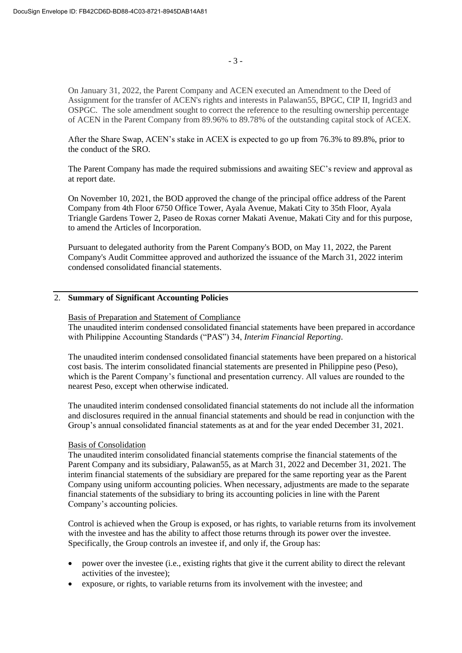On January 31, 2022, the Parent Company and ACEN executed an Amendment to the Deed of Assignment for the transfer of ACEN's rights and interests in Palawan55, BPGC, CIP II, Ingrid3 and OSPGC. The sole amendment sought to correct the reference to the resulting ownership percentage of ACEN in the Parent Company from 89.96% to 89.78% of the outstanding capital stock of ACEX.

After the Share Swap, ACEN's stake in ACEX is expected to go up from 76.3% to 89.8%, prior to the conduct of the SRO.

The Parent Company has made the required submissions and awaiting SEC's review and approval as at report date.

On November 10, 2021, the BOD approved the change of the principal office address of the Parent Company from 4th Floor 6750 Office Tower, Ayala Avenue, Makati City to 35th Floor, Ayala Triangle Gardens Tower 2, Paseo de Roxas corner Makati Avenue, Makati City and for this purpose, to amend the Articles of Incorporation.

Pursuant to delegated authority from the Parent Company's BOD, on May 11, 2022, the Parent Company's Audit Committee approved and authorized the issuance of the March 31, 2022 interim condensed consolidated financial statements.

# 2. **Summary of Significant Accounting Policies**

Basis of Preparation and Statement of Compliance The unaudited interim condensed consolidated financial statements have been prepared in accordance with Philippine Accounting Standards ("PAS") 34, *Interim Financial Reporting*.

The unaudited interim condensed consolidated financial statements have been prepared on a historical cost basis. The interim consolidated financial statements are presented in Philippine peso (Peso), which is the Parent Company's functional and presentation currency. All values are rounded to the nearest Peso, except when otherwise indicated.

The unaudited interim condensed consolidated financial statements do not include all the information and disclosures required in the annual financial statements and should be read in conjunction with the Group's annual consolidated financial statements as at and for the year ended December 31, 2021.

### Basis of Consolidation

The unaudited interim consolidated financial statements comprise the financial statements of the Parent Company and its subsidiary, Palawan55, as at March 31, 2022 and December 31, 2021. The interim financial statements of the subsidiary are prepared for the same reporting year as the Parent Company using uniform accounting policies. When necessary, adjustments are made to the separate financial statements of the subsidiary to bring its accounting policies in line with the Parent Company's accounting policies.

Control is achieved when the Group is exposed, or has rights, to variable returns from its involvement with the investee and has the ability to affect those returns through its power over the investee. Specifically, the Group controls an investee if, and only if, the Group has:

- power over the investee (i.e., existing rights that give it the current ability to direct the relevant activities of the investee);
- exposure, or rights, to variable returns from its involvement with the investee; and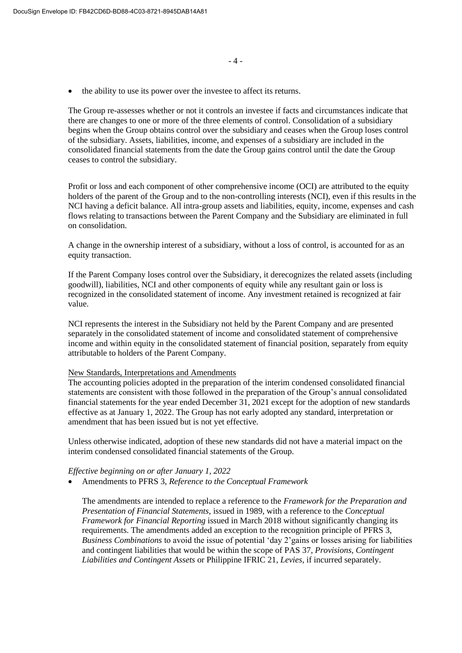• the ability to use its power over the investee to affect its returns.

The Group re-assesses whether or not it controls an investee if facts and circumstances indicate that there are changes to one or more of the three elements of control. Consolidation of a subsidiary begins when the Group obtains control over the subsidiary and ceases when the Group loses control of the subsidiary. Assets, liabilities, income, and expenses of a subsidiary are included in the consolidated financial statements from the date the Group gains control until the date the Group ceases to control the subsidiary.

Profit or loss and each component of other comprehensive income (OCI) are attributed to the equity holders of the parent of the Group and to the non-controlling interests (NCI), even if this results in the NCI having a deficit balance. All intra-group assets and liabilities, equity, income, expenses and cash flows relating to transactions between the Parent Company and the Subsidiary are eliminated in full on consolidation.

A change in the ownership interest of a subsidiary, without a loss of control, is accounted for as an equity transaction.

If the Parent Company loses control over the Subsidiary, it derecognizes the related assets (including goodwill), liabilities, NCI and other components of equity while any resultant gain or loss is recognized in the consolidated statement of income. Any investment retained is recognized at fair value.

NCI represents the interest in the Subsidiary not held by the Parent Company and are presented separately in the consolidated statement of income and consolidated statement of comprehensive income and within equity in the consolidated statement of financial position, separately from equity attributable to holders of the Parent Company.

#### New Standards, Interpretations and Amendments

The accounting policies adopted in the preparation of the interim condensed consolidated financial statements are consistent with those followed in the preparation of the Group's annual consolidated financial statements for the year ended December 31, 2021 except for the adoption of new standards effective as at January 1, 2022. The Group has not early adopted any standard, interpretation or amendment that has been issued but is not yet effective.

Unless otherwise indicated, adoption of these new standards did not have a material impact on the interim condensed consolidated financial statements of the Group.

#### *Effective beginning on or after January 1, 2022*

• Amendments to PFRS 3, *Reference to the Conceptual Framework*

The amendments are intended to replace a reference to the *Framework for the Preparation and Presentation of Financial Statements*, issued in 1989, with a reference to the *Conceptual Framework for Financial Reporting* issued in March 2018 without significantly changing its requirements. The amendments added an exception to the recognition principle of PFRS 3, *Business Combinations* to avoid the issue of potential 'day 2'gains or losses arising for liabilities and contingent liabilities that would be within the scope of PAS 37, *Provisions, Contingent Liabilities and Contingent Assets* or Philippine IFRIC 21, *Levies*, if incurred separately.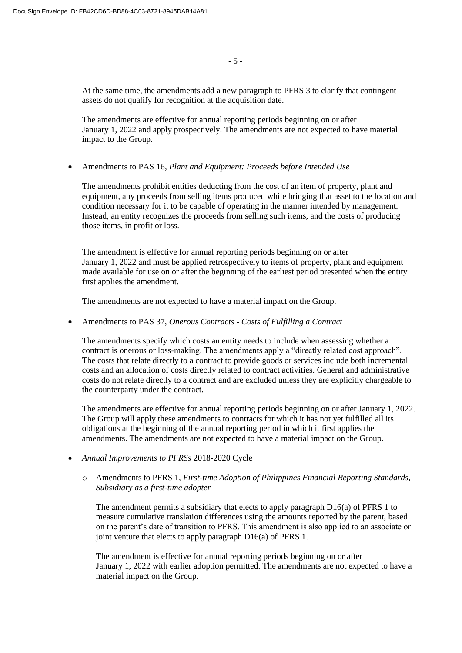At the same time, the amendments add a new paragraph to PFRS 3 to clarify that contingent assets do not qualify for recognition at the acquisition date.

The amendments are effective for annual reporting periods beginning on or after January 1, 2022 and apply prospectively. The amendments are not expected to have material impact to the Group.

• Amendments to PAS 16, *Plant and Equipment: Proceeds before Intended Use*

The amendments prohibit entities deducting from the cost of an item of property, plant and equipment, any proceeds from selling items produced while bringing that asset to the location and condition necessary for it to be capable of operating in the manner intended by management. Instead, an entity recognizes the proceeds from selling such items, and the costs of producing those items, in profit or loss.

The amendment is effective for annual reporting periods beginning on or after January 1, 2022 and must be applied retrospectively to items of property, plant and equipment made available for use on or after the beginning of the earliest period presented when the entity first applies the amendment.

The amendments are not expected to have a material impact on the Group.

• Amendments to PAS 37, *Onerous Contracts - Costs of Fulfilling a Contract*

The amendments specify which costs an entity needs to include when assessing whether a contract is onerous or loss-making. The amendments apply a "directly related cost approach". The costs that relate directly to a contract to provide goods or services include both incremental costs and an allocation of costs directly related to contract activities. General and administrative costs do not relate directly to a contract and are excluded unless they are explicitly chargeable to the counterparty under the contract.

The amendments are effective for annual reporting periods beginning on or after January 1, 2022. The Group will apply these amendments to contracts for which it has not yet fulfilled all its obligations at the beginning of the annual reporting period in which it first applies the amendments. The amendments are not expected to have a material impact on the Group.

- *Annual Improvements to PFRSs* 2018-2020 Cycle
	- o Amendments to PFRS 1, *First-time Adoption of Philippines Financial Reporting Standards, Subsidiary as a first-time adopter*

The amendment permits a subsidiary that elects to apply paragraph D16(a) of PFRS 1 to measure cumulative translation differences using the amounts reported by the parent, based on the parent's date of transition to PFRS. This amendment is also applied to an associate or joint venture that elects to apply paragraph D16(a) of PFRS 1.

The amendment is effective for annual reporting periods beginning on or after January 1, 2022 with earlier adoption permitted. The amendments are not expected to have a material impact on the Group.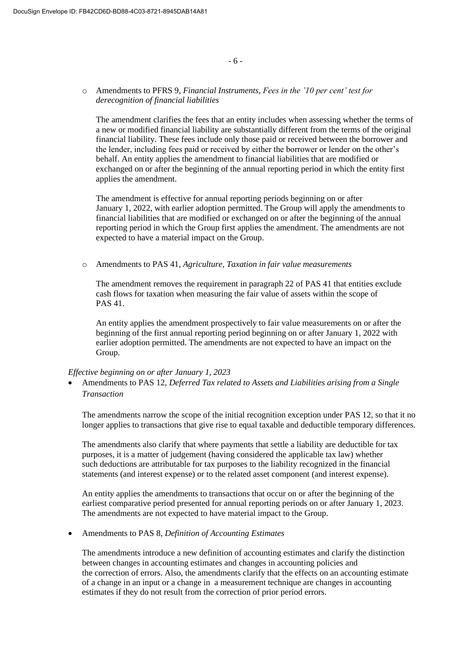#### - 6 -

# o Amendments to PFRS 9, *Financial Instruments*, *Fees in the '10 per cent' test for derecognition of financial liabilities*

The amendment clarifies the fees that an entity includes when assessing whether the terms of a new or modified financial liability are substantially different from the terms of the original financial liability. These fees include only those paid or received between the borrower and the lender, including fees paid or received by either the borrower or lender on the other's behalf. An entity applies the amendment to financial liabilities that are modified or exchanged on or after the beginning of the annual reporting period in which the entity first applies the amendment.

The amendment is effective for annual reporting periods beginning on or after January 1, 2022, with earlier adoption permitted. The Group will apply the amendments to financial liabilities that are modified or exchanged on or after the beginning of the annual reporting period in which the Group first applies the amendment. The amendments are not expected to have a material impact on the Group.

o Amendments to PAS 41, *Agriculture, Taxation in fair value measurements*

The amendment removes the requirement in paragraph 22 of PAS 41 that entities exclude cash flows for taxation when measuring the fair value of assets within the scope of PAS 41.

An entity applies the amendment prospectively to fair value measurements on or after the beginning of the first annual reporting period beginning on or after January 1, 2022 with earlier adoption permitted. The amendments are not expected to have an impact on the Group.

#### *Effective beginning on or after January 1, 2023*

• Amendments to PAS 12, *Deferred Tax related to Assets and Liabilities arising from a Single Transaction*

The amendments narrow the scope of the initial recognition exception under PAS 12, so that it no longer applies to transactions that give rise to equal taxable and deductible temporary differences.

The amendments also clarify that where payments that settle a liability are deductible for tax purposes, it is a matter of judgement (having considered the applicable tax law) whether such deductions are attributable for tax purposes to the liability recognized in the financial statements (and interest expense) or to the related asset component (and interest expense).

An entity applies the amendments to transactions that occur on or after the beginning of the earliest comparative period presented for annual reporting periods on or after January 1, 2023. The amendments are not expected to have material impact to the Group.

• Amendments to PAS 8, *Definition of Accounting Estimates*

The amendments introduce a new definition of accounting estimates and clarify the distinction between changes in accounting estimates and changes in accounting policies and the correction of errors. Also, the amendments clarify that the effects on an accounting estimate of a change in an input or a change in a measurement technique are changes in accounting estimates if they do not result from the correction of prior period errors.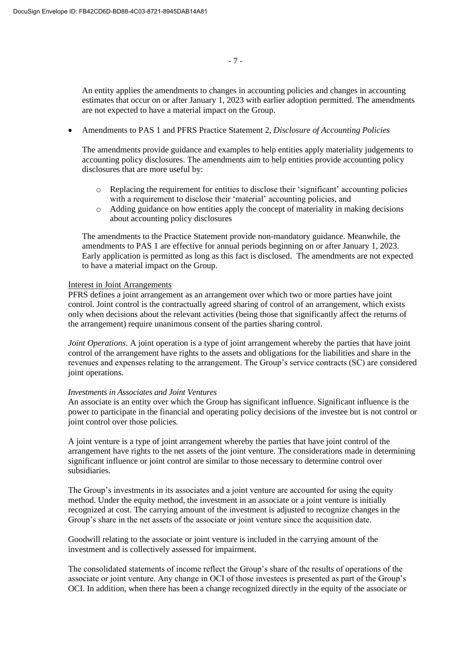An entity applies the amendments to changes in accounting policies and changes in accounting estimates that occur on or after January 1, 2023 with earlier adoption permitted. The amendments are not expected to have a material impact on the Group.

• Amendments to PAS 1 and PFRS Practice Statement 2, *Disclosure of Accounting Policies*

The amendments provide guidance and examples to help entities apply materiality judgements to accounting policy disclosures. The amendments aim to help entities provide accounting policy disclosures that are more useful by:

- $\circ$  Replacing the requirement for entities to disclose their 'significant' accounting policies with a requirement to disclose their 'material' accounting policies, and
- $\circ$  Adding guidance on how entities apply the concept of materiality in making decisions about accounting policy disclosures

The amendments to the Practice Statement provide non-mandatory guidance. Meanwhile, the amendments to PAS 1 are effective for annual periods beginning on or after January 1, 2023. Early application is permitted as long as this fact is disclosed. The amendments are not expected to have a material impact on the Group.

#### Interest in Joint Arrangements

PFRS defines a joint arrangement as an arrangement over which two or more parties have joint control. Joint control is the contractually agreed sharing of control of an arrangement, which exists only when decisions about the relevant activities (being those that significantly affect the returns of the arrangement) require unanimous consent of the parties sharing control.

*Joint Operations*. A joint operation is a type of joint arrangement whereby the parties that have joint control of the arrangement have rights to the assets and obligations for the liabilities and share in the revenues and expenses relating to the arrangement. The Group's service contracts (SC) are considered joint operations.

#### *Investments in Associates and Joint Ventures*

An associate is an entity over which the Group has significant influence. Significant influence is the power to participate in the financial and operating policy decisions of the investee but is not control or joint control over those policies.

A joint venture is a type of joint arrangement whereby the parties that have joint control of the arrangement have rights to the net assets of the joint venture. The considerations made in determining significant influence or joint control are similar to those necessary to determine control over subsidiaries.

The Group's investments in its associates and a joint venture are accounted for using the equity method. Under the equity method, the investment in an associate or a joint venture is initially recognized at cost. The carrying amount of the investment is adjusted to recognize changes in the Group's share in the net assets of the associate or joint venture since the acquisition date.

Goodwill relating to the associate or joint venture is included in the carrying amount of the investment and is collectively assessed for impairment.

The consolidated statements of income reflect the Group's share of the results of operations of the associate or joint venture. Any change in OCI of those investees is presented as part of the Group's OCI. In addition, when there has been a change recognized directly in the equity of the associate or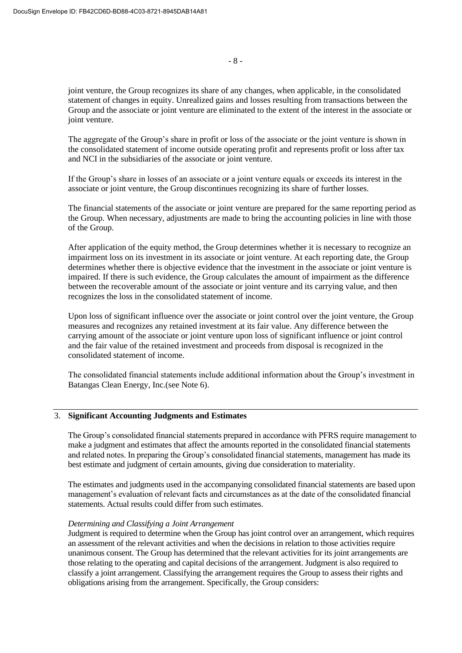joint venture, the Group recognizes its share of any changes, when applicable, in the consolidated statement of changes in equity. Unrealized gains and losses resulting from transactions between the Group and the associate or joint venture are eliminated to the extent of the interest in the associate or joint venture.

The aggregate of the Group's share in profit or loss of the associate or the joint venture is shown in the consolidated statement of income outside operating profit and represents profit or loss after tax and NCI in the subsidiaries of the associate or joint venture.

If the Group's share in losses of an associate or a joint venture equals or exceeds its interest in the associate or joint venture, the Group discontinues recognizing its share of further losses.

The financial statements of the associate or joint venture are prepared for the same reporting period as the Group. When necessary, adjustments are made to bring the accounting policies in line with those of the Group.

After application of the equity method, the Group determines whether it is necessary to recognize an impairment loss on its investment in its associate or joint venture. At each reporting date, the Group determines whether there is objective evidence that the investment in the associate or joint venture is impaired. If there is such evidence, the Group calculates the amount of impairment as the difference between the recoverable amount of the associate or joint venture and its carrying value, and then recognizes the loss in the consolidated statement of income.

Upon loss of significant influence over the associate or joint control over the joint venture, the Group measures and recognizes any retained investment at its fair value. Any difference between the carrying amount of the associate or joint venture upon loss of significant influence or joint control and the fair value of the retained investment and proceeds from disposal is recognized in the consolidated statement of income.

The consolidated financial statements include additional information about the Group's investment in Batangas Clean Energy, Inc.(see Note 6).

## 3. **Significant Accounting Judgments and Estimates**

The Group's consolidated financial statements prepared in accordance with PFRS require management to make a judgment and estimates that affect the amounts reported in the consolidated financial statements and related notes. In preparing the Group's consolidated financial statements, management has made its best estimate and judgment of certain amounts, giving due consideration to materiality.

The estimates and judgments used in the accompanying consolidated financial statements are based upon management's evaluation of relevant facts and circumstances as at the date of the consolidated financial statements. Actual results could differ from such estimates.

#### *Determining and Classifying a Joint Arrangement*

Judgment is required to determine when the Group has joint control over an arrangement, which requires an assessment of the relevant activities and when the decisions in relation to those activities require unanimous consent. The Group has determined that the relevant activities for its joint arrangements are those relating to the operating and capital decisions of the arrangement. Judgment is also required to classify a joint arrangement. Classifying the arrangement requires the Group to assess their rights and obligations arising from the arrangement. Specifically, the Group considers: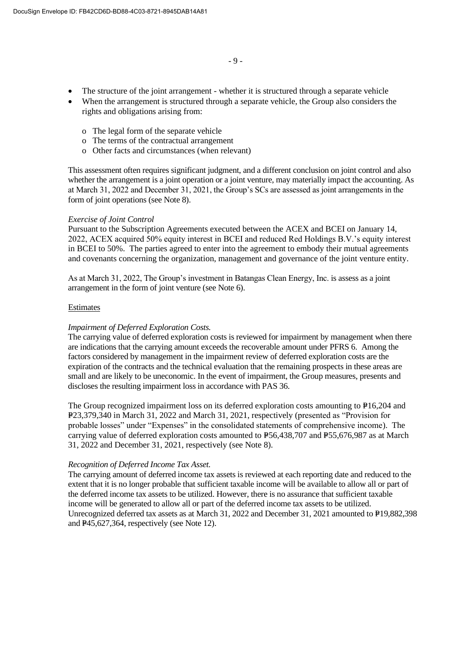- The structure of the joint arrangement whether it is structured through a separate vehicle
- When the arrangement is structured through a separate vehicle, the Group also considers the rights and obligations arising from:
	- o The legal form of the separate vehicle
	- o The terms of the contractual arrangement
	- o Other facts and circumstances (when relevant)

This assessment often requires significant judgment, and a different conclusion on joint control and also whether the arrangement is a joint operation or a joint venture, may materially impact the accounting. As at March 31, 2022 and December 31, 2021, the Group's SCs are assessed as joint arrangements in the form of joint operations (see Note 8).

## *Exercise of Joint Control*

Pursuant to the Subscription Agreements executed between the ACEX and BCEI on January 14, 2022, ACEX acquired 50% equity interest in BCEI and reduced Red Holdings B.V.'s equity interest in BCEI to 50%. The parties agreed to enter into the agreement to embody their mutual agreements and covenants concerning the organization, management and governance of the joint venture entity.

As at March 31, 2022, The Group's investment in Batangas Clean Energy, Inc. is assess as a joint arrangement in the form of joint venture (see Note 6).

## Estimates

## *Impairment of Deferred Exploration Costs.*

The carrying value of deferred exploration costs is reviewed for impairment by management when there are indications that the carrying amount exceeds the recoverable amount under PFRS 6. Among the factors considered by management in the impairment review of deferred exploration costs are the expiration of the contracts and the technical evaluation that the remaining prospects in these areas are small and are likely to be uneconomic. In the event of impairment, the Group measures, presents and discloses the resulting impairment loss in accordance with PAS 36.

The Group recognized impairment loss on its deferred exploration costs amounting to  $P16,204$  and P23,379,340 in March 31, 2022 and March 31, 2021, respectively (presented as "Provision for probable losses" under "Expenses" in the consolidated statements of comprehensive income). The carrying value of deferred exploration costs amounted to  $P_{56,438,707}$  and  $P_{55,676,987}$  as at March 31, 2022 and December 31, 2021, respectively (see Note 8).

#### *Recognition of Deferred Income Tax Asset.*

The carrying amount of deferred income tax assets is reviewed at each reporting date and reduced to the extent that it is no longer probable that sufficient taxable income will be available to allow all or part of the deferred income tax assets to be utilized. However, there is no assurance that sufficient taxable income will be generated to allow all or part of the deferred income tax assets to be utilized. Unrecognized deferred tax assets as at March 31, 2022 and December 31, 2021 amounted to  $P19,882,398$ and  $P45,627,364$ , respectively (see Note 12).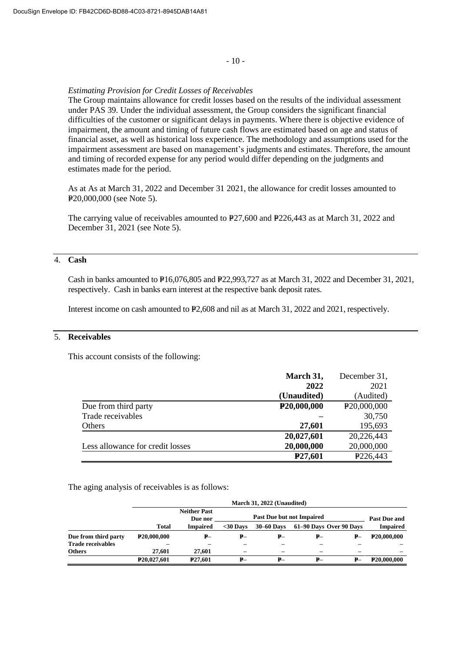#### - 10 -

#### *Estimating Provision for Credit Losses of Receivables*

The Group maintains allowance for credit losses based on the results of the individual assessment under PAS 39. Under the individual assessment, the Group considers the significant financial difficulties of the customer or significant delays in payments. Where there is objective evidence of impairment, the amount and timing of future cash flows are estimated based on age and status of financial asset, as well as historical loss experience. The methodology and assumptions used for the impairment assessment are based on management's judgments and estimates. Therefore, the amount and timing of recorded expense for any period would differ depending on the judgments and estimates made for the period.

As at As at March 31, 2022 and December 31 2021, the allowance for credit losses amounted to P<sub>20</sub>,000,000 (see Note 5).

The carrying value of receivables amounted to  $P27,600$  and  $P226,443$  as at March 31, 2022 and December 31, 2021 (see Note 5).

## 4. **Cash**

Cash in banks amounted to P16,076,805 and P22,993,727 as at March 31, 2022 and December 31, 2021, respectively. Cash in banks earn interest at the respective bank deposit rates.

Interest income on cash amounted to  $P2,608$  and nil as at March 31, 2022 and 2021, respectively.

# 5. **Receivables**

This account consists of the following:

|                                  | March 31,                | December 31,             |
|----------------------------------|--------------------------|--------------------------|
|                                  | 2022                     | 2021                     |
|                                  | (Unaudited)              | (Audited)                |
| Due from third party             | P <sub>20</sub> ,000,000 | P <sub>20</sub> ,000,000 |
| Trade receivables                |                          | 30,750                   |
| Others                           | 27,601                   | 195,693                  |
|                                  | 20,027,601               | 20,226,443               |
| Less allowance for credit losses | 20,000,000               | 20,000,000               |
|                                  | P <sub>27</sub> ,601     | P <sub>226</sub> ,443    |

The aging analysis of receivables is as follows:

|                          | March 31, 2022 (Unaudited) |                                |                                  |                   |    |                         |                          |  |  |
|--------------------------|----------------------------|--------------------------------|----------------------------------|-------------------|----|-------------------------|--------------------------|--|--|
|                          |                            | <b>Neither Past</b><br>Due nor | <b>Past Due but not Impaired</b> |                   |    |                         |                          |  |  |
|                          | <b>Total</b>               | <b>Impaired</b>                | $30$ Davs                        | <b>30–60 Days</b> |    | 61–90 Days Over 90 Days | <b>Impaired</b>          |  |  |
| Due from third party     | P <sub>20</sub> ,000,000   | $P-$                           | ₽–                               | ₽–                | ₽– | ₽–                      | P <sub>20</sub> ,000,000 |  |  |
| <b>Trade receivables</b> |                            |                                |                                  |                   |    |                         |                          |  |  |
| <b>Others</b>            | 27,601                     | 27,601                         |                                  | -                 |    |                         |                          |  |  |
|                          | P <sub>20</sub> ,027,601   | <b>P27.601</b>                 | ₽–                               | ₽–                | ₽– | ₽–                      | P <sub>20</sub> ,000,000 |  |  |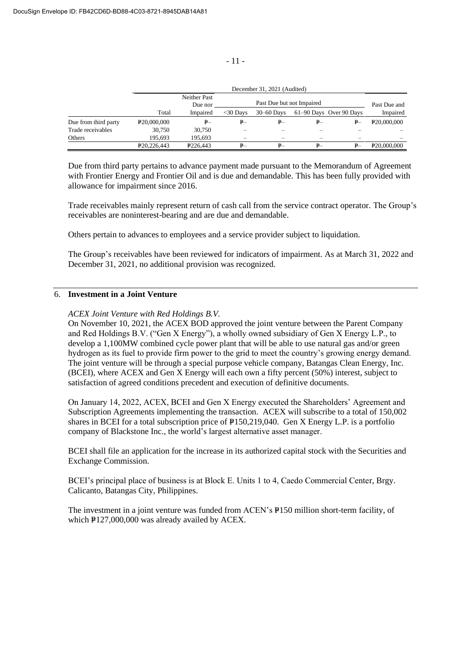|                      |                            | December 31, 2021 (Audited) |              |              |      |                         |                          |  |  |  |
|----------------------|----------------------------|-----------------------------|--------------|--------------|------|-------------------------|--------------------------|--|--|--|
|                      |                            | Neither Past<br>Due nor     | Past Due and |              |      |                         |                          |  |  |  |
|                      | Total                      | Impaired                    | $<$ 30 Davs  | $30-60$ Davs |      | 61–90 Days Over 90 Days | Impaired                 |  |  |  |
| Due from third party | P <sub>20</sub> ,000,000   | ₽—                          | $P-$         | $P-$         | $P-$ | ₽–                      | P <sub>20</sub> ,000,000 |  |  |  |
| Trade receivables    | 30.750                     | 30.750                      |              |              |      |                         |                          |  |  |  |
| Others               | 195.693                    | 195.693                     |              |              |      |                         |                          |  |  |  |
|                      | P <sub>20</sub> , 226, 443 | P <sub>226</sub> .443       | $P-$         | ₽–           | $P-$ | ₽–                      | P <sub>20</sub> ,000,000 |  |  |  |

Due from third party pertains to advance payment made pursuant to the Memorandum of Agreement with Frontier Energy and Frontier Oil and is due and demandable. This has been fully provided with allowance for impairment since 2016.

Trade receivables mainly represent return of cash call from the service contract operator. The Group's receivables are noninterest-bearing and are due and demandable.

Others pertain to advances to employees and a service provider subject to liquidation.

The Group's receivables have been reviewed for indicators of impairment. As at March 31, 2022 and December 31, 2021, no additional provision was recognized.

# 6. **Investment in a Joint Venture**

*ACEX Joint Venture with Red Holdings B.V.*

On November 10, 2021, the ACEX BOD approved the joint venture between the Parent Company and Red Holdings B.V. ("Gen X Energy"), a wholly owned subsidiary of Gen X Energy L.P., to develop a 1,100MW combined cycle power plant that will be able to use natural gas and/or green hydrogen as its fuel to provide firm power to the grid to meet the country's growing energy demand. The joint venture will be through a special purpose vehicle company, Batangas Clean Energy, Inc. (BCEI), where ACEX and Gen X Energy will each own a fifty percent (50%) interest, subject to satisfaction of agreed conditions precedent and execution of definitive documents.

On January 14, 2022, ACEX, BCEI and Gen X Energy executed the Shareholders' Agreement and Subscription Agreements implementing the transaction. ACEX will subscribe to a total of 150,002 shares in BCEI for a total subscription price of  $P150,219,040$ . Gen X Energy L.P. is a portfolio company of Blackstone Inc., the world's largest alternative asset manager.

BCEI shall file an application for the increase in its authorized capital stock with the Securities and Exchange Commission.

BCEI's principal place of business is at Block E. Units 1 to 4, Caedo Commercial Center, Brgy. Calicanto, Batangas City, Philippines.

The investment in a joint venture was funded from ACEN's P150 million short-term facility, of which  $P127,000,000$  was already availed by ACEX.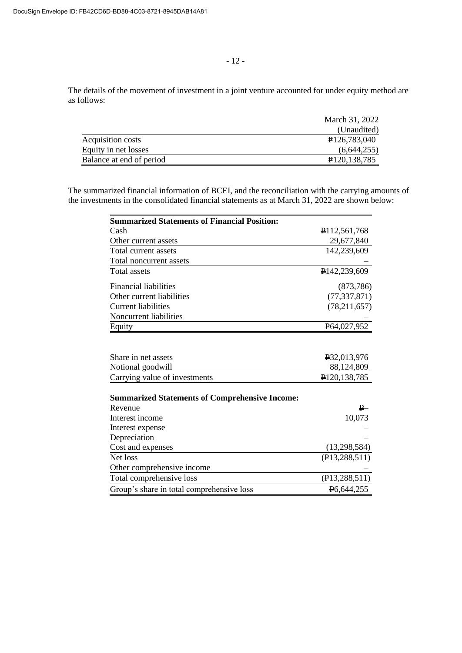The details of the movement of investment in a joint venture accounted for under equity method are as follows:

| March 31, 2022              |
|-----------------------------|
| (Unaudited)                 |
| P <sub>126</sub> ,783,040   |
| (6,644,255)                 |
| P <sub>120</sub> , 138, 785 |
|                             |

The summarized financial information of BCEI, and the reconciliation with the carrying amounts of the investments in the consolidated financial statements as at March 31, 2022 are shown below:

| <b>Summarized Statements of Financial Position:</b>   |                                 |
|-------------------------------------------------------|---------------------------------|
| Cash                                                  | P112,561,768                    |
| Other current assets                                  | 29,677,840                      |
| Total current assets                                  | 142,239,609                     |
| Total noncurrent assets                               |                                 |
| <b>Total assets</b>                                   | P <sub>142,239,609</sub>        |
| <b>Financial liabilities</b>                          | (873, 786)                      |
| Other current liabilities                             | (77, 337, 871)                  |
| <b>Current liabilities</b>                            | (78, 211, 657)                  |
| Noncurrent liabilities                                |                                 |
| Equity                                                | P64,027,952                     |
| Share in net assets                                   | P32,013,976                     |
| Notional goodwill                                     | 88,124,809                      |
| Carrying value of investments                         | P <sub>120</sub> , 138, 785     |
| <b>Summarized Statements of Comprehensive Income:</b> | $P_{-}$                         |
| Revenue<br>Interest income                            |                                 |
|                                                       | 10,073                          |
| Interest expense<br>Depreciation                      |                                 |
| Cost and expenses                                     |                                 |
| Net loss                                              | (13,298,584)<br>(213, 288, 511) |
|                                                       |                                 |
| Other comprehensive income                            |                                 |
| Total comprehensive loss                              | (P13, 288, 511)                 |
| Group's share in total comprehensive loss             | P <sub>6</sub> ,644,255         |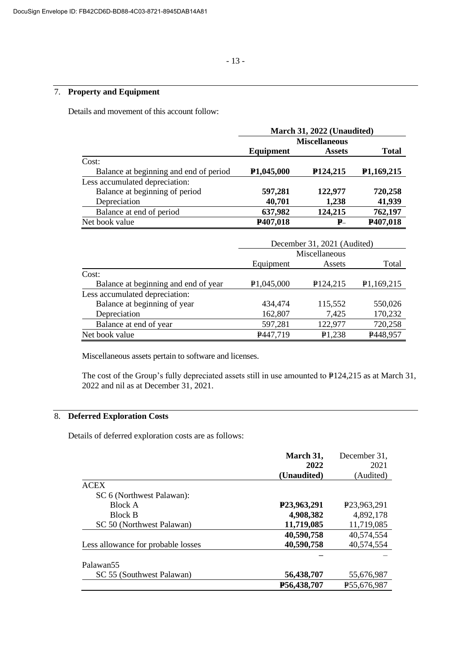# 7. **Property and Equipment**

Details and movement of this account follow:

|                                        | March 31, 2022 (Unaudited) |                             |                         |  |
|----------------------------------------|----------------------------|-----------------------------|-------------------------|--|
|                                        | <b>Miscellaneous</b>       |                             |                         |  |
|                                        | Equipment                  | <b>Assets</b>               | <b>Total</b>            |  |
| Cost:                                  |                            |                             |                         |  |
| Balance at beginning and end of period | P <sub>1</sub> ,045,000    | P <sub>124</sub> ,215       | P <sub>1</sub> ,169,215 |  |
| Less accumulated depreciation:         |                            |                             |                         |  |
| Balance at beginning of period         | 597,281                    | 122,977                     | 720,258                 |  |
| Depreciation                           | 40,701                     | 1,238                       | 41,939                  |  |
| Balance at end of period               | 637,982                    | 124,215                     | 762,197                 |  |
| Net book value                         | P407,018                   | $P_{-}$                     | P407,018                |  |
|                                        |                            | December 31, 2021 (Audited) |                         |  |
|                                        |                            |                             |                         |  |

|                                      | December 31, $2021$ (Audited) |                      |            |  |
|--------------------------------------|-------------------------------|----------------------|------------|--|
|                                      | Miscellaneous                 |                      |            |  |
|                                      | Equipment                     | Assets               | Total      |  |
| Cost:                                |                               |                      |            |  |
| Balance at beginning and end of year | P1,045,000                    | P <sub>124,215</sub> | P1,169,215 |  |
| Less accumulated depreciation:       |                               |                      |            |  |
| Balance at beginning of year         | 434,474                       | 115,552              | 550,026    |  |
| Depreciation                         | 162,807                       | 7,425                | 170,232    |  |
| Balance at end of year               | 597,281                       | 122,977              | 720,258    |  |
| Net book value                       | P447,719                      | P <sub>1</sub> ,238  | P448,957   |  |

Miscellaneous assets pertain to software and licenses.

The cost of the Group's fully depreciated assets still in use amounted to P124,215 as at March 31, 2022 and nil as at December 31, 2021.

# 8. **Deferred Exploration Costs**

Details of deferred exploration costs are as follows:

|                                    | March 31,   | December 31,               |
|------------------------------------|-------------|----------------------------|
|                                    | 2022        | 2021                       |
|                                    | (Unaudited) | (Audited)                  |
| <b>ACEX</b>                        |             |                            |
| SC 6 (Northwest Palawan):          |             |                            |
| <b>Block A</b>                     | P23,963,291 | P <sub>23</sub> , 963, 291 |
| <b>Block B</b>                     | 4,908,382   | 4,892,178                  |
| SC 50 (Northwest Palawan)          | 11,719,085  | 11,719,085                 |
|                                    | 40,590,758  | 40,574,554                 |
| Less allowance for probable losses | 40,590,758  | 40,574,554                 |
|                                    |             |                            |
| Palawan <sub>55</sub>              |             |                            |
| SC 55 (Southwest Palawan)          | 56,438,707  | 55,676,987                 |
|                                    | P56,438,707 | P <sub>55</sub> ,676,987   |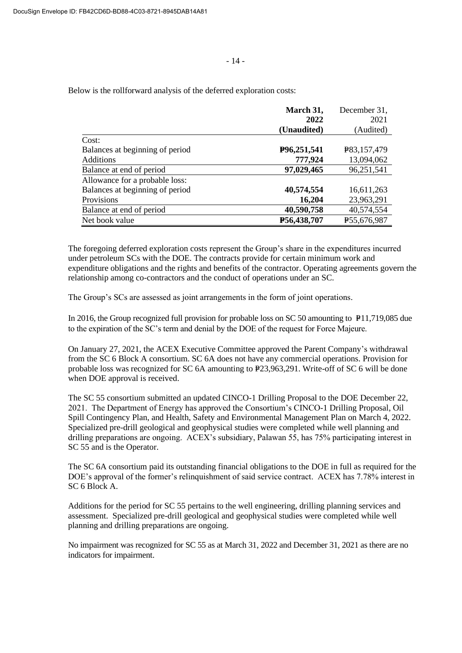|                                 | March 31,   | December 31, |
|---------------------------------|-------------|--------------|
|                                 | 2022        | 2021         |
|                                 | (Unaudited) | (Audited)    |
| Cost:                           |             |              |
| Balances at beginning of period | P96,251,541 | P83,157,479  |
| <b>Additions</b>                | 777,924     | 13,094,062   |
| Balance at end of period        | 97,029,465  | 96,251,541   |
| Allowance for a probable loss:  |             |              |
| Balances at beginning of period | 40,574,554  | 16,611,263   |
| Provisions                      | 16,204      | 23,963,291   |
| Balance at end of period        | 40,590,758  | 40,574,554   |
| Net book value                  | P56,438,707 | P55,676,987  |

The foregoing deferred exploration costs represent the Group's share in the expenditures incurred under petroleum SCs with the DOE. The contracts provide for certain minimum work and expenditure obligations and the rights and benefits of the contractor. Operating agreements govern the relationship among co-contractors and the conduct of operations under an SC.

The Group's SCs are assessed as joint arrangements in the form of joint operations.

In 2016, the Group recognized full provision for probable loss on SC 50 amounting to  $P11,719,085$  due to the expiration of the SC's term and denial by the DOE of the request for Force Majeure.

On January 27, 2021, the ACEX Executive Committee approved the Parent Company's withdrawal from the SC 6 Block A consortium. SC 6A does not have any commercial operations. Provision for probable loss was recognized for SC 6A amounting to P23,963,291. Write-off of SC 6 will be done when DOE approval is received.

The SC 55 consortium submitted an updated CINCO-1 Drilling Proposal to the DOE December 22, 2021. The Department of Energy has approved the Consortium's CINCO-1 Drilling Proposal, Oil Spill Contingency Plan, and Health, Safety and Environmental Management Plan on March 4, 2022. Specialized pre-drill geological and geophysical studies were completed while well planning and drilling preparations are ongoing. ACEX's subsidiary, Palawan 55, has 75% participating interest in SC 55 and is the Operator.

The SC 6A consortium paid its outstanding financial obligations to the DOE in full as required for the DOE's approval of the former's relinquishment of said service contract. ACEX has 7.78% interest in SC 6 Block A.

Additions for the period for SC 55 pertains to the well engineering, drilling planning services and assessment. Specialized pre-drill geological and geophysical studies were completed while well planning and drilling preparations are ongoing.

No impairment was recognized for SC 55 as at March 31, 2022 and December 31, 2021 as there are no indicators for impairment.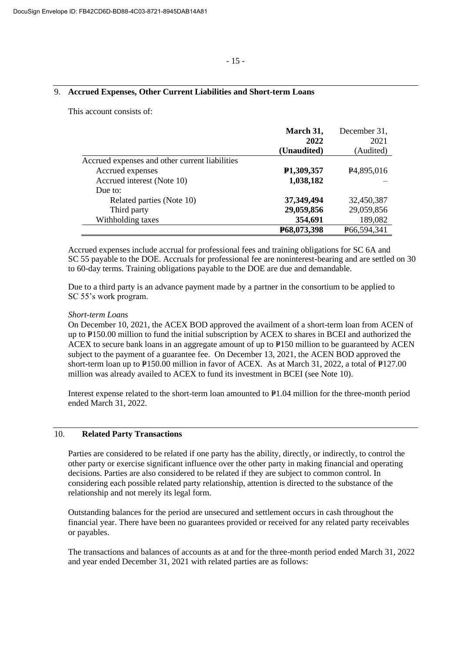## 9. **Accrued Expenses, Other Current Liabilities and Short-term Loans**

This account consists of:

|                                                | March 31,               | December 31,            |
|------------------------------------------------|-------------------------|-------------------------|
|                                                | 2022                    | 2021                    |
|                                                | (Unaudited)             | (Audited)               |
| Accrued expenses and other current liabilities |                         |                         |
| Accrued expenses                               | P <sub>1</sub> ,309,357 | P <sub>4</sub> ,895,016 |
| Accrued interest (Note 10)                     | 1,038,182               |                         |
| Due to:                                        |                         |                         |
| Related parties (Note 10)                      | 37,349,494              | 32,450,387              |
| Third party                                    | 29,059,856              | 29,059,856              |
| Withholding taxes                              | 354,691                 | 189,082                 |
|                                                | P68,073,398             | P66,594,341             |

Accrued expenses include accrual for professional fees and training obligations for SC 6A and SC 55 payable to the DOE. Accruals for professional fee are noninterest-bearing and are settled on 30 to 60-day terms. Training obligations payable to the DOE are due and demandable.

Due to a third party is an advance payment made by a partner in the consortium to be applied to SC 55's work program.

#### *Short-term Loans*

On December 10, 2021, the ACEX BOD approved the availment of a short-term loan from ACEN of up to P150.00 million to fund the initial subscription by ACEX to shares in BCEI and authorized the ACEX to secure bank loans in an aggregate amount of up to  $P150$  million to be guaranteed by ACEN subject to the payment of a guarantee fee. On December 13, 2021, the ACEN BOD approved the short-term loan up to  $P150.00$  million in favor of ACEX. As at March 31, 2022, a total of  $P127.00$ million was already availed to ACEX to fund its investment in BCEI (see Note 10).

Interest expense related to the short-term loan amounted to P1.04 million for the three-month period ended March 31, 2022.

# 10. **Related Party Transactions**

Parties are considered to be related if one party has the ability, directly, or indirectly, to control the other party or exercise significant influence over the other party in making financial and operating decisions. Parties are also considered to be related if they are subject to common control. In considering each possible related party relationship, attention is directed to the substance of the relationship and not merely its legal form.

Outstanding balances for the period are unsecured and settlement occurs in cash throughout the financial year. There have been no guarantees provided or received for any related party receivables or payables.

The transactions and balances of accounts as at and for the three-month period ended March 31, 2022 and year ended December 31, 2021 with related parties are as follows: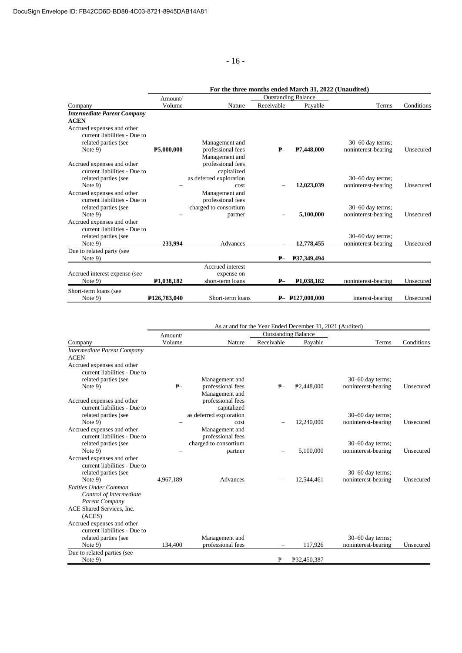- 16 -

|                                    |                           |                         |            | <u>me un ce monum chucu march cri sos.</u> |                     |            |
|------------------------------------|---------------------------|-------------------------|------------|--------------------------------------------|---------------------|------------|
|                                    | Amount/                   |                         |            | <b>Outstanding Balance</b>                 |                     |            |
| Company                            | Volume                    | Nature                  | Receivable | Payable                                    | Terms               | Conditions |
| <b>Intermediate Parent Company</b> |                           |                         |            |                                            |                     |            |
| <b>ACEN</b>                        |                           |                         |            |                                            |                     |            |
| Accrued expenses and other         |                           |                         |            |                                            |                     |            |
| current liabilities - Due to       |                           |                         |            |                                            |                     |            |
| related parties (see               |                           | Management and          |            |                                            | $30-60$ day terms;  |            |
| Note $9$ )                         | P5,000,000                | professional fees       | $P-$       | P7,448,000                                 | noninterest-bearing | Unsecured  |
|                                    |                           | Management and          |            |                                            |                     |            |
| Accrued expenses and other         |                           | professional fees       |            |                                            |                     |            |
| current liabilities - Due to       |                           | capitalized             |            |                                            |                     |            |
| related parties (see               |                           | as deferred exploration |            |                                            | $30-60$ day terms;  |            |
| Note $9$ )                         |                           | cost                    |            | 12,023,039                                 | noninterest-bearing | Unsecured  |
| Accrued expenses and other         |                           | Management and          |            |                                            |                     |            |
| current liabilities - Due to       |                           | professional fees       |            |                                            |                     |            |
| related parties (see               |                           | charged to consortium   |            |                                            | $30-60$ day terms;  |            |
| Note $9$ )                         |                           | partner                 |            | 5,100,000                                  | noninterest-bearing | Unsecured  |
| Accrued expenses and other         |                           |                         |            |                                            |                     |            |
| current liabilities - Due to       |                           |                         |            |                                            |                     |            |
| related parties (see               |                           |                         |            |                                            | 30-60 day terms;    |            |
| Note 9)                            | 233,994                   | Advances                |            | 12,778,455                                 | noninterest-bearing | Unsecured  |
| Due to related party (see          |                           |                         |            |                                            |                     |            |
| Note 9)                            |                           |                         | $P-$       | P37,349,494                                |                     |            |
|                                    |                           | Accrued interest        |            |                                            |                     |            |
| Accrued interest expense (see      |                           | expense on              |            |                                            |                     |            |
| Note 9)                            | P <sub>1</sub> ,038,182   | short-term loans        | $P-$       | P <sub>1</sub> ,038,182                    | noninterest-bearing | Unsecured  |
| Short-term loans (see              |                           |                         |            |                                            |                     |            |
| Note $9$                           | P <sub>126</sub> ,783,040 | Short-term loans        |            | $P-$ P127,000,000                          | interest-bearing    | Unsecured  |

|                                                            | As at and for the Year Ended December 31, 2021 (Audited) |                                     |            |                            |                     |            |
|------------------------------------------------------------|----------------------------------------------------------|-------------------------------------|------------|----------------------------|---------------------|------------|
|                                                            | Amount/                                                  |                                     |            | <b>Outstanding Balance</b> |                     |            |
| Company                                                    | Volume                                                   | Nature                              | Receivable | Payable                    | Terms               | Conditions |
| Intermediate Parent Company                                |                                                          |                                     |            |                            |                     |            |
| <b>ACEN</b>                                                |                                                          |                                     |            |                            |                     |            |
| Accrued expenses and other<br>current liabilities - Due to |                                                          |                                     |            |                            |                     |            |
| related parties (see                                       |                                                          | Management and                      |            |                            | $30-60$ day terms;  |            |
| Note $9$ )                                                 | $P -$                                                    | professional fees                   | $P-$       | P <sub>2.448,000</sub>     | noninterest-bearing | Unsecured  |
| Accrued expenses and other                                 |                                                          | Management and<br>professional fees |            |                            |                     |            |
| current liabilities - Due to                               |                                                          | capitalized                         |            |                            |                     |            |
| related parties (see                                       |                                                          | as deferred exploration             |            |                            | $30-60$ day terms;  |            |
| Note 9)                                                    |                                                          | cost                                |            | 12,240,000                 | noninterest-bearing | Unsecured  |
| Accrued expenses and other                                 |                                                          | Management and                      |            |                            |                     |            |
| current liabilities - Due to                               |                                                          | professional fees                   |            |                            |                     |            |
| related parties (see                                       |                                                          | charged to consortium               |            |                            | $30-60$ day terms;  |            |
| Note $9$ )                                                 |                                                          | partner                             |            | 5.100.000                  | noninterest-bearing | Unsecured  |
| Accrued expenses and other                                 |                                                          |                                     |            |                            |                     |            |
| current liabilities - Due to                               |                                                          |                                     |            |                            |                     |            |
| related parties (see                                       |                                                          |                                     |            |                            | $30-60$ day terms;  |            |
| Note 9)                                                    | 4.967.189                                                | Advances                            |            | 12,544,461                 | noninterest-bearing | Unsecured  |
| <b>Entities Under Common</b>                               |                                                          |                                     |            |                            |                     |            |
| Control of Intermediate                                    |                                                          |                                     |            |                            |                     |            |
| <b>Parent Company</b>                                      |                                                          |                                     |            |                            |                     |            |
| ACE Shared Services, Inc.                                  |                                                          |                                     |            |                            |                     |            |
| (ACES)                                                     |                                                          |                                     |            |                            |                     |            |
| Accrued expenses and other                                 |                                                          |                                     |            |                            |                     |            |
| current liabilities - Due to                               |                                                          |                                     |            |                            |                     |            |
| related parties (see                                       |                                                          | Management and                      |            |                            | 30–60 day terms;    |            |
| Note $9$ )                                                 | 134,400                                                  | professional fees                   |            | 117,926                    | noninterest-bearing | Unsecured  |
| Due to related parties (see                                |                                                          |                                     |            |                            |                     |            |
| Note $9$ )                                                 |                                                          |                                     | $P-$       | P32,450,387                |                     |            |

**For the three months ended March 31, 2022 (Unaudited)**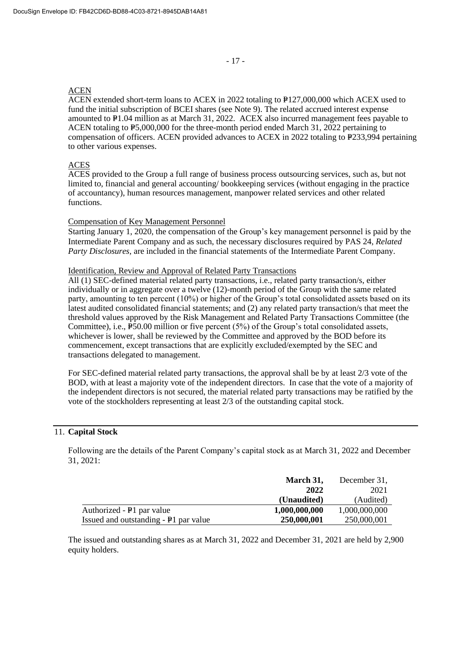#### ACEN

ACEN extended short-term loans to ACEX in 2022 totaling to  $P$ 127,000,000 which ACEX used to fund the initial subscription of BCEI shares (see Note 9). The related accrued interest expense amounted to  $P1.04$  million as at March 31, 2022. ACEX also incurred management fees payable to ACEN totaling to  $P5,000,000$  for the three-month period ended March 31, 2022 pertaining to compensation of officers. ACEN provided advances to ACEX in 2022 totaling to  $P233,994$  pertaining to other various expenses.

# ACES

ACES provided to the Group a full range of business process outsourcing services, such as, but not limited to, financial and general accounting/ bookkeeping services (without engaging in the practice of accountancy), human resources management, manpower related services and other related functions.

## Compensation of Key Management Personnel

Starting January 1, 2020, the compensation of the Group's key management personnel is paid by the Intermediate Parent Company and as such, the necessary disclosures required by PAS 24, *Related Party Disclosures,* are included in the financial statements of the Intermediate Parent Company.

#### Identification, Review and Approval of Related Party Transactions

All (1) SEC-defined material related party transactions, i.e., related party transaction/s, either individually or in aggregate over a twelve (12)-month period of the Group with the same related party, amounting to ten percent (10%) or higher of the Group's total consolidated assets based on its latest audited consolidated financial statements; and (2) any related party transaction/s that meet the threshold values approved by the Risk Management and Related Party Transactions Committee (the Committee), i.e.,  $\overline{P50.00}$  million or five percent (5%) of the Group's total consolidated assets, whichever is lower, shall be reviewed by the Committee and approved by the BOD before its commencement, except transactions that are explicitly excluded/exempted by the SEC and transactions delegated to management.

For SEC-defined material related party transactions, the approval shall be by at least 2/3 vote of the BOD, with at least a majority vote of the independent directors. In case that the vote of a majority of the independent directors is not secured, the material related party transactions may be ratified by the vote of the stockholders representing at least 2/3 of the outstanding capital stock.

### 11. **Capital Stock**

Following are the details of the Parent Company's capital stock as at March 31, 2022 and December 31, 2021:

|                                       | March 31,     | December 31,  |
|---------------------------------------|---------------|---------------|
|                                       | 2022          | 2021          |
|                                       | (Unaudited)   | (Audited)     |
| Authorized - P1 par value             | 1,000,000,000 | 1,000,000,000 |
| Issued and outstanding - P1 par value | 250,000,001   | 250,000,001   |

The issued and outstanding shares as at March 31, 2022 and December 31, 2021 are held by 2,900 equity holders.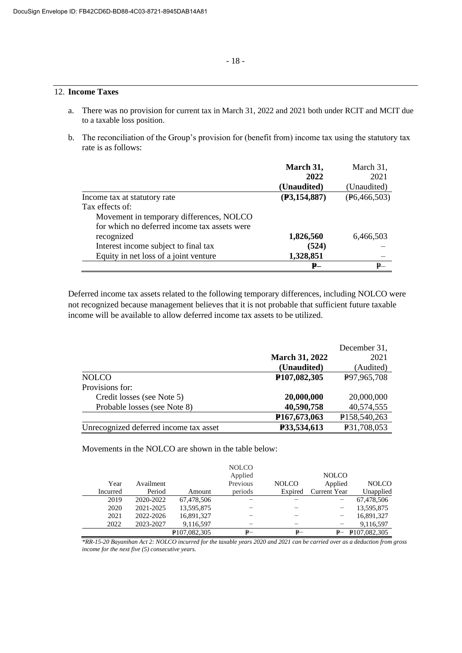## 12. **Income Taxes**

- a. There was no provision for current tax in March 31, 2022 and 2021 both under RCIT and MCIT due to a taxable loss position.
- b. The reconciliation of the Group's provision for (benefit from) income tax using the statutory tax rate is as follows:

|                                              | March 31,      | March 31,      |
|----------------------------------------------|----------------|----------------|
|                                              | 2022           | 2021           |
|                                              | (Unaudited)    | (Unaudited)    |
| Income tax at statutory rate                 | (P3, 154, 887) | (E6, 466, 503) |
| Tax effects of:                              |                |                |
| Movement in temporary differences, NOLCO     |                |                |
| for which no deferred income tax assets were |                |                |
| recognized                                   | 1,826,560      | 6,466,503      |
| Interest income subject to final tax         | (524)          |                |
| Equity in net loss of a joint venture        | 1,328,851      |                |
|                                              | <b>P</b>       | <b>P</b> —     |

Deferred income tax assets related to the following temporary differences, including NOLCO were not recognized because management believes that it is not probable that sufficient future taxable income will be available to allow deferred income tax assets to be utilized.

|                                        |                           | December 31, |
|----------------------------------------|---------------------------|--------------|
|                                        | <b>March 31, 2022</b>     | 2021         |
|                                        | (Unaudited)               | (Audited)    |
| <b>NOLCO</b>                           | P107,082,305              | P97,965,708  |
| Provisions for:                        |                           |              |
| Credit losses (see Note 5)             | 20,000,000                | 20,000,000   |
| Probable losses (see Note 8)           | 40,590,758                | 40,574,555   |
|                                        | P <sub>167</sub> ,673,063 | P158,540,263 |
| Unrecognized deferred income tax asset | P33,534,613               | P31,708,053  |

Movements in the NOLCO are shown in the table below:

|          |           |                           | <b>NOLCO</b> |              |              |                           |
|----------|-----------|---------------------------|--------------|--------------|--------------|---------------------------|
|          |           |                           | Applied      |              | <b>NOLCO</b> |                           |
| Year     | Availment |                           | Previous     | <b>NOLCO</b> | Applied      | <b>NOLCO</b>              |
| Incurred | Period    | Amount                    | periods      | Expired      | Current Year | Unapplied                 |
| 2019     | 2020-2022 | 67,478,506                |              |              |              | 67,478,506                |
| 2020     | 2021-2025 | 13,595,875                |              |              |              | 13,595,875                |
| 2021     | 2022-2026 | 16,891,327                |              |              |              | 16,891,327                |
| 2022     | 2023-2027 | 9,116,597                 |              |              |              | 9,116,597                 |
|          |           | P <sub>107</sub> ,082,305 | ₽–           | ₽–           |              | P <sub>107</sub> ,082,305 |

*\*RR-15-20 Bayanihan Act 2: NOLCO incurred for the taxable years 2020 and 2021 can be carried over as a deduction from gross income for the next five (5) consecutive years.*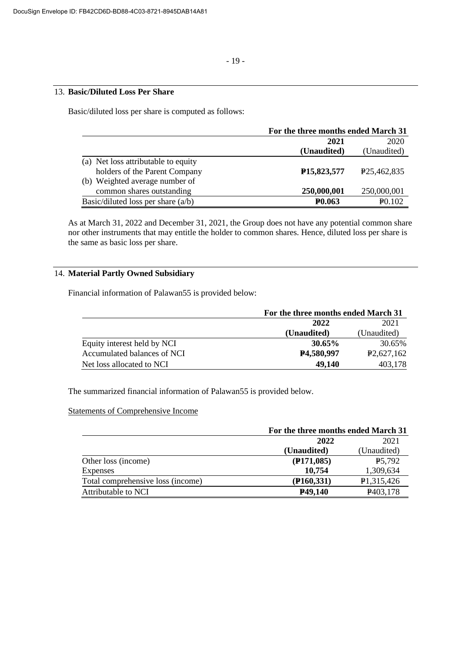# 13. **Basic/Diluted Loss Per Share**

Basic/diluted loss per share is computed as follows:

|                                      | For the three months ended March 31 |                          |
|--------------------------------------|-------------------------------------|--------------------------|
|                                      | 2021                                | 2020                     |
|                                      | (Unaudited)                         | (Unaudited)              |
| (a) Net loss attributable to equity  |                                     |                          |
| holders of the Parent Company        | P <sub>15</sub> ,823,577            | P <sub>25</sub> ,462,835 |
| (b) Weighted average number of       |                                     |                          |
| common shares outstanding            | 250,000,001                         | 250,000,001              |
| Basic/diluted loss per share $(a/b)$ | <b>P0.063</b>                       | P <sub>0.102</sub>       |

As at March 31, 2022 and December 31, 2021, the Group does not have any potential common share nor other instruments that may entitle the holder to common shares. Hence, diluted loss per share is the same as basic loss per share.

# 14. **Material Partly Owned Subsidiary**

Financial information of Palawan55 is provided below:

|                             | For the three months ended March 31 |             |  |
|-----------------------------|-------------------------------------|-------------|--|
|                             | 2022                                | 2021        |  |
|                             | (Unaudited)                         | (Unaudited) |  |
| Equity interest held by NCI | 30.65%                              | 30.65%      |  |
| Accumulated balances of NCI | P4,580,997                          | P2,627,162  |  |
| Net loss allocated to NCI   | 49.140                              | 403,178     |  |

The summarized financial information of Palawan55 is provided below.

## Statements of Comprehensive Income

|                                   | For the three months ended March 31 |                         |  |
|-----------------------------------|-------------------------------------|-------------------------|--|
|                                   | 2022                                | 2021                    |  |
|                                   | (Unaudited)                         | (Unaudited)             |  |
| Other loss (income)               | $($ P171,085)                       | <b>P5.792</b>           |  |
| Expenses                          | 10,754                              | 1,309,634               |  |
| Total comprehensive loss (income) | $($ <b>P</b> 160,331)               | P <sub>1</sub> ,315,426 |  |
| Attributable to NCI               | P49,140                             | P <sub>403</sub> , 178  |  |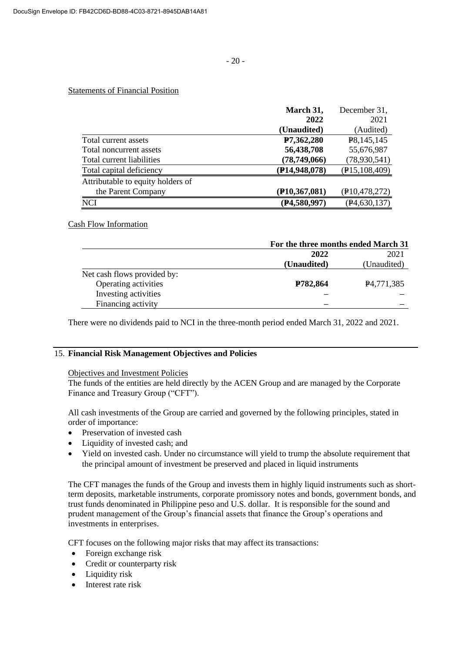## Statements of Financial Position

|                                   | March 31,       | December 31,    |
|-----------------------------------|-----------------|-----------------|
|                                   | 2022            | 2021            |
|                                   | (Unaudited)     | (Audited)       |
| Total current assets              | P7,362,280      | P8,145,145      |
| Total noncurrent assets           | 56,438,708      | 55,676,987      |
| Total current liabilities         | (78, 749, 066)  | (78, 930, 541)  |
| Total capital deficiency          | (P14, 948, 078) | (E15, 108, 409) |
| Attributable to equity holders of |                 |                 |
| the Parent Company                | (P10, 367, 081) | (P10, 478, 272) |
| <b>NCI</b>                        | (P4,580,997)    | (P4, 630, 137)  |

#### Cash Flow Information

|                             | For the three months ended March 31 |                         |  |
|-----------------------------|-------------------------------------|-------------------------|--|
|                             | 2022                                | 2021                    |  |
|                             | (Unaudited)                         | (Unaudited)             |  |
| Net cash flows provided by: |                                     |                         |  |
| Operating activities        | P782,864                            | P <sub>4</sub> ,771,385 |  |
| Investing activities        |                                     |                         |  |
| Financing activity          |                                     |                         |  |

There were no dividends paid to NCI in the three-month period ended March 31, 2022 and 2021.

## 15. **Financial Risk Management Objectives and Policies**

#### Objectives and Investment Policies

The funds of the entities are held directly by the ACEN Group and are managed by the Corporate Finance and Treasury Group ("CFT").

All cash investments of the Group are carried and governed by the following principles, stated in order of importance:

- Preservation of invested cash
- Liquidity of invested cash; and
- Yield on invested cash. Under no circumstance will yield to trump the absolute requirement that the principal amount of investment be preserved and placed in liquid instruments

The CFT manages the funds of the Group and invests them in highly liquid instruments such as shortterm deposits, marketable instruments, corporate promissory notes and bonds, government bonds, and trust funds denominated in Philippine peso and U.S. dollar. It is responsible for the sound and prudent management of the Group's financial assets that finance the Group's operations and investments in enterprises.

CFT focuses on the following major risks that may affect its transactions:

- Foreign exchange risk
- Credit or counterparty risk
- Liquidity risk
- Interest rate risk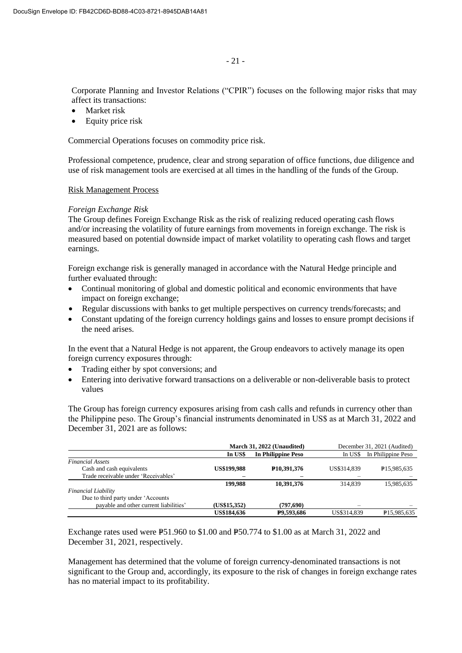Corporate Planning and Investor Relations ("CPIR") focuses on the following major risks that may affect its transactions:

- Market risk
- Equity price risk

Commercial Operations focuses on commodity price risk.

Professional competence, prudence, clear and strong separation of office functions, due diligence and use of risk management tools are exercised at all times in the handling of the funds of the Group.

#### Risk Management Process

#### *Foreign Exchange Risk*

The Group defines Foreign Exchange Risk as the risk of realizing reduced operating cash flows and/or increasing the volatility of future earnings from movements in foreign exchange. The risk is measured based on potential downside impact of market volatility to operating cash flows and target earnings.

Foreign exchange risk is generally managed in accordance with the Natural Hedge principle and further evaluated through:

- Continual monitoring of global and domestic political and economic environments that have impact on foreign exchange;
- Regular discussions with banks to get multiple perspectives on currency trends/forecasts; and
- Constant updating of the foreign currency holdings gains and losses to ensure prompt decisions if the need arises.

In the event that a Natural Hedge is not apparent, the Group endeavors to actively manage its open foreign currency exposures through:

- Trading either by spot conversions; and
- Entering into derivative forward transactions on a deliverable or non-deliverable basis to protect values

The Group has foreign currency exposures arising from cash calls and refunds in currency other than the Philippine peso. The Group's financial instruments denominated in US\$ as at March 31, 2022 and December 31, 2021 are as follows:

|                                        | March 31, 2022 (Unaudited) |                            | December 31, 2021 (Audited)   |                          |
|----------------------------------------|----------------------------|----------------------------|-------------------------------|--------------------------|
|                                        | In US\$                    | <b>In Philippine Peso</b>  | In Philippine Peso<br>In US\$ |                          |
| <b>Financial Assets</b>                |                            |                            |                               |                          |
| Cash and cash equivalents              | <b>US\$199,988</b>         | P <sub>10</sub> , 391, 376 | US\$314,839                   | P <sub>15</sub> ,985,635 |
| Trade receivable under 'Receivables'   |                            |                            |                               |                          |
|                                        | 199,988                    | 10.391.376                 | 314.839                       | 15,985,635               |
| <b>Financial Liability</b>             |                            |                            |                               |                          |
| Due to third party under 'Accounts'    |                            |                            |                               |                          |
| payable and other current liabilities' | (US\$15,352)               | (797,690)                  |                               |                          |
|                                        | <b>US\$184,636</b>         | P9.593.686                 | US\$314,839                   | P <sub>15.985.635</sub>  |

Exchange rates used were  $E$ 51.960 to \$1.00 and  $E$ 50.774 to \$1.00 as at March 31, 2022 and December 31, 2021, respectively.

Management has determined that the volume of foreign currency-denominated transactions is not significant to the Group and, accordingly, its exposure to the risk of changes in foreign exchange rates has no material impact to its profitability.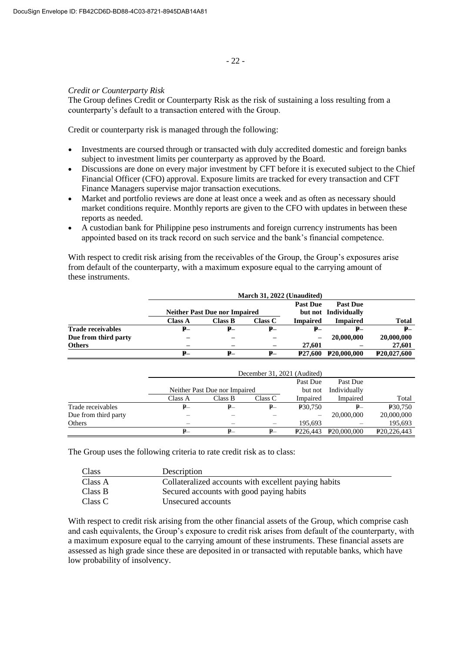## *Credit or Counterparty Risk*

The Group defines Credit or Counterparty Risk as the risk of sustaining a loss resulting from a counterparty's default to a transaction entered with the Group.

Credit or counterparty risk is managed through the following:

- Investments are coursed through or transacted with duly accredited domestic and foreign banks subject to investment limits per counterparty as approved by the Board.
- Discussions are done on every major investment by CFT before it is executed subject to the Chief Financial Officer (CFO) approval. Exposure limits are tracked for every transaction and CFT Finance Managers supervise major transaction executions.
- Market and portfolio reviews are done at least once a week and as often as necessary should market conditions require. Monthly reports are given to the CFO with updates in between these reports as needed.
- A custodian bank for Philippine peso instruments and foreign currency instruments has been appointed based on its track record on such service and the bank's financial competence.

With respect to credit risk arising from the receivables of the Group, the Group's exposures arise from default of the counterparty, with a maximum exposure equal to the carrying amount of these instruments.

|                          | March 31, 2022 (Unaudited) |                                      |                |                      |                          |              |
|--------------------------|----------------------------|--------------------------------------|----------------|----------------------|--------------------------|--------------|
|                          |                            |                                      |                | <b>Past Due</b>      | <b>Past Due</b>          |              |
|                          |                            | <b>Neither Past Due nor Impaired</b> |                |                      | but not Individually     |              |
|                          | Class A                    | Class B                              | <b>Class C</b> | <b>Impaired</b>      | <b>Impaired</b>          | <b>Total</b> |
| <b>Trade receivables</b> | $P-$                       | <b>P</b> -                           | $P-$           | ₽–                   | <b>P</b> -               | $P-$         |
| Due from third party     |                            |                                      |                |                      | 20,000,000               | 20,000,000   |
| <b>Others</b>            |                            |                                      |                | 27.601               |                          | 27,601       |
|                          | ₽–                         | ₽–                                   | ₽–             | P <sub>27</sub> .600 | P <sub>20</sub> ,000,000 | P20,027,600  |

|                      | December 31, 2021 (Audited) |                               |         |                          |                          |                            |  |
|----------------------|-----------------------------|-------------------------------|---------|--------------------------|--------------------------|----------------------------|--|
|                      |                             | Past Due<br>Past Due          |         |                          |                          |                            |  |
|                      |                             | Neither Past Due nor Impaired |         | but not                  | Individually             |                            |  |
|                      | Class A                     | Class B                       | Class C | Impaired                 | Impaired                 | Total                      |  |
| Trade receivables    | ₽–                          | ₽—                            | $P-$    | <b>P30,750</b>           | $P-$                     | <b>P30,750</b>             |  |
| Due from third party |                             |                               |         | $\overline{\phantom{0}}$ | 20,000,000               | 20,000,000                 |  |
| Others               |                             |                               |         | 195.693                  |                          | 195,693                    |  |
|                      | $P-$                        |                               | $P-$    | P <sub>226</sub> .443    | P <sub>20</sub> ,000,000 | P <sub>20</sub> , 226, 443 |  |

The Group uses the following criteria to rate credit risk as to class:

| Class   | Description                                          |  |
|---------|------------------------------------------------------|--|
| Class A | Collateralized accounts with excellent paying habits |  |
| Class B | Secured accounts with good paying habits             |  |
| Class C | Unsecured accounts                                   |  |

With respect to credit risk arising from the other financial assets of the Group, which comprise cash and cash equivalents, the Group's exposure to credit risk arises from default of the counterparty, with a maximum exposure equal to the carrying amount of these instruments. These financial assets are assessed as high grade since these are deposited in or transacted with reputable banks, which have low probability of insolvency.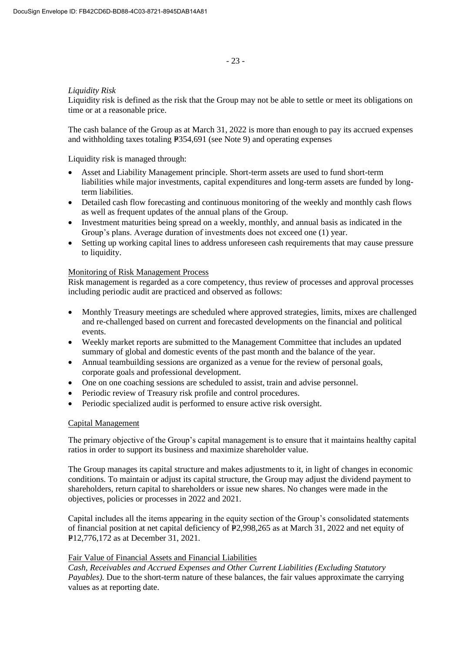## *Liquidity Risk*

Liquidity risk is defined as the risk that the Group may not be able to settle or meet its obligations on time or at a reasonable price.

The cash balance of the Group as at March 31, 2022 is more than enough to pay its accrued expenses and withholding taxes totaling  $E$ 354,691 (see Note 9) and operating expenses

Liquidity risk is managed through:

- Asset and Liability Management principle. Short-term assets are used to fund short-term liabilities while major investments, capital expenditures and long-term assets are funded by longterm liabilities.
- Detailed cash flow forecasting and continuous monitoring of the weekly and monthly cash flows as well as frequent updates of the annual plans of the Group.
- Investment maturities being spread on a weekly, monthly, and annual basis as indicated in the Group's plans. Average duration of investments does not exceed one (1) year.
- Setting up working capital lines to address unforeseen cash requirements that may cause pressure to liquidity.

## Monitoring of Risk Management Process

Risk management is regarded as a core competency, thus review of processes and approval processes including periodic audit are practiced and observed as follows:

- Monthly Treasury meetings are scheduled where approved strategies, limits, mixes are challenged and re-challenged based on current and forecasted developments on the financial and political events.
- Weekly market reports are submitted to the Management Committee that includes an updated summary of global and domestic events of the past month and the balance of the year.
- Annual teambuilding sessions are organized as a venue for the review of personal goals, corporate goals and professional development.
- One on one coaching sessions are scheduled to assist, train and advise personnel.
- Periodic review of Treasury risk profile and control procedures.
- Periodic specialized audit is performed to ensure active risk oversight.

#### Capital Management

The primary objective of the Group's capital management is to ensure that it maintains healthy capital ratios in order to support its business and maximize shareholder value.

The Group manages its capital structure and makes adjustments to it, in light of changes in economic conditions. To maintain or adjust its capital structure, the Group may adjust the dividend payment to shareholders, return capital to shareholders or issue new shares. No changes were made in the objectives, policies or processes in 2022 and 2021.

Capital includes all the items appearing in the equity section of the Group's consolidated statements of financial position at net capital deficiency of P2,998,265 as at March 31, 2022 and net equity of P12,776,172 as at December 31, 2021.

#### Fair Value of Financial Assets and Financial Liabilities

*Cash, Receivables and Accrued Expenses and Other Current Liabilities (Excluding Statutory Payables).* Due to the short-term nature of these balances, the fair values approximate the carrying values as at reporting date.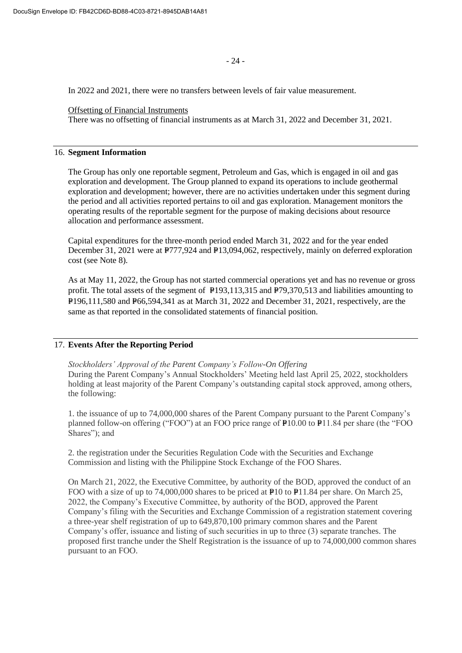In 2022 and 2021, there were no transfers between levels of fair value measurement.

### Offsetting of Financial Instruments

There was no offsetting of financial instruments as at March 31, 2022 and December 31, 2021.

# 16. **Segment Information**

The Group has only one reportable segment, Petroleum and Gas, which is engaged in oil and gas exploration and development. The Group planned to expand its operations to include geothermal exploration and development; however, there are no activities undertaken under this segment during the period and all activities reported pertains to oil and gas exploration. Management monitors the operating results of the reportable segment for the purpose of making decisions about resource allocation and performance assessment.

Capital expenditures for the three-month period ended March 31, 2022 and for the year ended December 31, 2021 were at P777,924 and P13,094,062, respectively, mainly on deferred exploration cost (see Note 8).

As at May 11, 2022, the Group has not started commercial operations yet and has no revenue or gross profit. The total assets of the segment of  $P193,113,315$  and  $P79,370,513$  and liabilities amounting to P196,111,580 and P66,594,341 as at March 31, 2022 and December 31, 2021, respectively, are the same as that reported in the consolidated statements of financial position.

# 17. **Events After the Reporting Period**

*Stockholders' Approval of the Parent Company's Follow-On Offering*

During the Parent Company's Annual Stockholders' Meeting held last April 25, 2022, stockholders holding at least majority of the Parent Company's outstanding capital stock approved, among others, the following:

1. the issuance of up to 74,000,000 shares of the Parent Company pursuant to the Parent Company's planned follow-on offering ("FOO") at an FOO price range of  $P10.00$  to  $P11.84$  per share (the "FOO Shares"); and

2. the registration under the Securities Regulation Code with the Securities and Exchange Commission and listing with the Philippine Stock Exchange of the FOO Shares.

On March 21, 2022, the Executive Committee, by authority of the BOD, approved the conduct of an FOO with a size of up to 74,000,000 shares to be priced at  $\text{P10}$  to  $\text{P11.84}$  per share. On March 25, 2022, the Company's Executive Committee, by authority of the BOD, approved the Parent Company's filing with the Securities and Exchange Commission of a registration statement covering a three-year shelf registration of up to 649,870,100 primary common shares and the Parent Company's offer, issuance and listing of such securities in up to three (3) separate tranches. The proposed first tranche under the Shelf Registration is the issuance of up to 74,000,000 common shares pursuant to an FOO.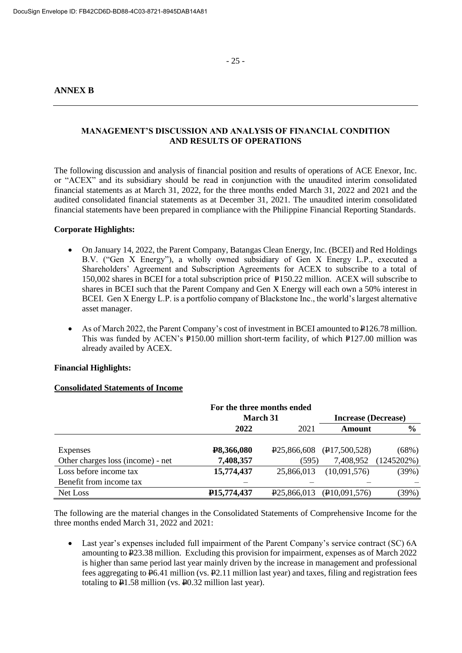- 25 -

# **ANNEX B**

# **MANAGEMENT'S DISCUSSION AND ANALYSIS OF FINANCIAL CONDITION AND RESULTS OF OPERATIONS**

The following discussion and analysis of financial position and results of operations of ACE Enexor, Inc. or "ACEX" and its subsidiary should be read in conjunction with the unaudited interim consolidated financial statements as at March 31, 2022, for the three months ended March 31, 2022 and 2021 and the audited consolidated financial statements as at December 31, 2021. The unaudited interim consolidated financial statements have been prepared in compliance with the Philippine Financial Reporting Standards.

# **Corporate Highlights:**

- On January 14, 2022, the Parent Company, Batangas Clean Energy, Inc. (BCEI) and Red Holdings B.V. ("Gen X Energy"), a wholly owned subsidiary of Gen X Energy L.P., executed a Shareholders' Agreement and Subscription Agreements for ACEX to subscribe to a total of 150,002 shares in BCEI for a total subscription price of P150.22 million. ACEX will subscribe to shares in BCEI such that the Parent Company and Gen X Energy will each own a 50% interest in BCEI. Gen X Energy L.P. is a portfolio company of Blackstone Inc., the world's largest alternative asset manager.
- As of March 2022, the Parent Company's cost of investment in BCEI amounted to  $\text{\textsterling}126.78$  million. This was funded by ACEN's  $P150.00$  million short-term facility, of which P127.00 million was already availed by ACEX.

#### **Financial Highlights:**

#### **Consolidated Statements of Income**

|                                   | For the three months ended |                          |                                                       |               |  |  |  |  |  |  |        |  |
|-----------------------------------|----------------------------|--------------------------|-------------------------------------------------------|---------------|--|--|--|--|--|--|--------|--|
|                                   | <b>March 31</b>            |                          | <b>Increase (Decrease)</b>                            |               |  |  |  |  |  |  |        |  |
|                                   | 2021<br>2022               |                          |                                                       |               |  |  |  |  |  |  | Amount |  |
|                                   |                            |                          |                                                       |               |  |  |  |  |  |  |        |  |
| Expenses                          | P8,366,080                 |                          | $\overline{P}25,866,608$ ( $\overline{P}17,500,528$ ) | (68%)         |  |  |  |  |  |  |        |  |
| Other charges loss (income) - net | 7,408,357                  | (595)                    | 7,408,952                                             | $(1245202\%)$ |  |  |  |  |  |  |        |  |
| Loss before income tax            | 15,774,437                 | 25,866,013               | (10,091,576)                                          | (39%)         |  |  |  |  |  |  |        |  |
| Benefit from income tax           |                            |                          |                                                       |               |  |  |  |  |  |  |        |  |
| Net Loss                          | P <sub>15</sub> , 774, 437 | P <sub>25</sub> ,866,013 | (P10,091,576)                                         | (39%)         |  |  |  |  |  |  |        |  |

The following are the material changes in the Consolidated Statements of Comprehensive Income for the three months ended March 31, 2022 and 2021:

• Last year's expenses included full impairment of the Parent Company's service contract (SC) 6A amounting to P23.38 million. Excluding this provision for impairment, expenses as of March 2022 is higher than same period last year mainly driven by the increase in management and professional fees aggregating to P6.41 million (vs. P2.11 million last year) and taxes, filing and registration fees totaling to P1.58 million (vs. P0.32 million last year).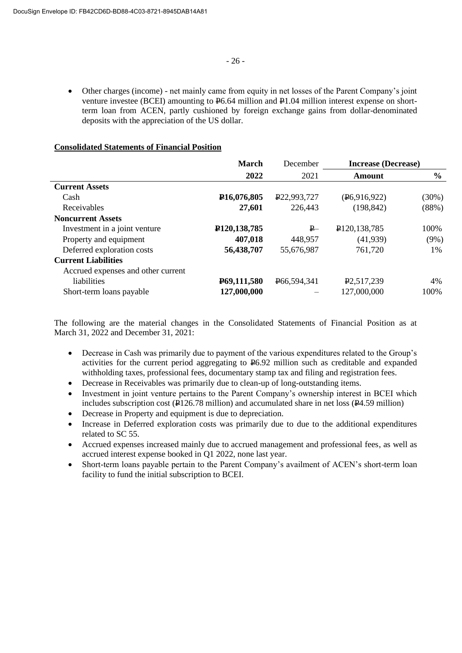• Other charges (income) - net mainly came from equity in net losses of the Parent Company's joint venture investee (BCEI) amounting to P6.64 million and P1.04 million interest expense on shortterm loan from ACEN, partly cushioned by foreign exchange gains from dollar-denominated deposits with the appreciation of the US dollar.

### **Consolidated Statements of Financial Position**

|                                    | <b>March</b>                | December                 | <b>Increase (Decrease)</b>  |               |
|------------------------------------|-----------------------------|--------------------------|-----------------------------|---------------|
|                                    | 2022                        | 2021                     | Amount                      | $\frac{6}{9}$ |
| <b>Current Assets</b>              |                             |                          |                             |               |
| Cash                               | P <sub>16</sub> ,076,805    | P <sub>22</sub> ,993,727 | (P6,916,922)                | $(30\%)$      |
| Receivables                        | 27,601                      | 226,443                  | (198, 842)                  | (88%)         |
| <b>Noncurrent Assets</b>           |                             |                          |                             |               |
| Investment in a joint venture      | P <sub>120</sub> , 138, 785 | P                        | P <sub>120</sub> , 138, 785 | 100%          |
| Property and equipment             | 407,018                     | 448,957                  | (41,939)                    | $(9\%)$       |
| Deferred exploration costs         | 56,438,707                  | 55,676,987               | 761,720                     | 1%            |
| <b>Current Liabilities</b>         |                             |                          |                             |               |
| Accrued expenses and other current |                             |                          |                             |               |
| liabilities                        | P69,111,580                 | P66,594,341              | P <sub>2</sub> ,517,239     | 4%            |
| Short-term loans payable           | 127,000,000                 |                          | 127,000,000                 | 100%          |

The following are the material changes in the Consolidated Statements of Financial Position as at March 31, 2022 and December 31, 2021:

- Decrease in Cash was primarily due to payment of the various expenditures related to the Group's activities for the current period aggregating to P6.92 million such as creditable and expanded withholding taxes, professional fees, documentary stamp tax and filing and registration fees.
- Decrease in Receivables was primarily due to clean-up of long-outstanding items.
- Investment in joint venture pertains to the Parent Company's ownership interest in BCEI which includes subscription cost ( $\overline{P}$ 126.78 million) and accumulated share in net loss ( $\overline{P}$ 4.59 million)
- Decrease in Property and equipment is due to depreciation.
- Increase in Deferred exploration costs was primarily due to due to the additional expenditures related to SC 55.
- Accrued expenses increased mainly due to accrued management and professional fees, as well as accrued interest expense booked in Q1 2022, none last year.
- Short-term loans payable pertain to the Parent Company's availment of ACEN's short-term loan facility to fund the initial subscription to BCEI.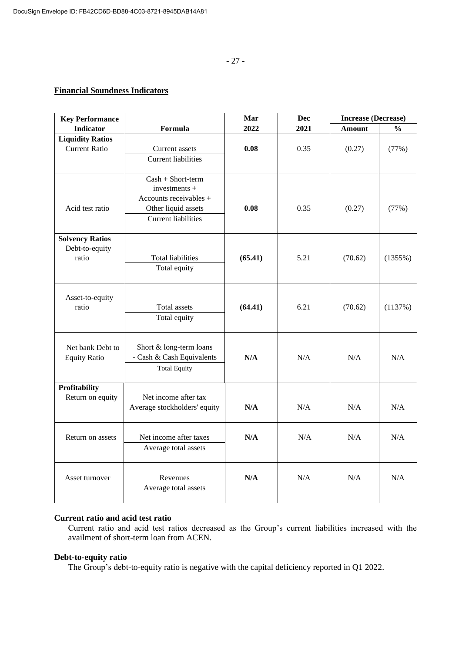# **Financial Soundness Indicators**

| <b>Key Performance</b>                   |                                             | Mar     | Dec  | <b>Increase (Decrease)</b> |               |
|------------------------------------------|---------------------------------------------|---------|------|----------------------------|---------------|
| <b>Indicator</b>                         | Formula                                     | 2022    | 2021 | <b>Amount</b>              | $\frac{0}{0}$ |
| <b>Liquidity Ratios</b>                  |                                             |         |      |                            |               |
| <b>Current Ratio</b>                     | Current assets                              | 0.08    | 0.35 | (0.27)                     | (77%)         |
|                                          | <b>Current liabilities</b>                  |         |      |                            |               |
|                                          |                                             |         |      |                            |               |
|                                          | $Cash + Short-term$                         |         |      |                            |               |
|                                          | $investments +$<br>Accounts receivables $+$ |         |      |                            |               |
| Acid test ratio                          | Other liquid assets                         | 0.08    | 0.35 | (0.27)                     | (77%)         |
|                                          | <b>Current liabilities</b>                  |         |      |                            |               |
|                                          |                                             |         |      |                            |               |
| <b>Solvency Ratios</b>                   |                                             |         |      |                            |               |
| Debt-to-equity                           |                                             |         |      |                            |               |
| ratio                                    | <b>Total liabilities</b>                    | (65.41) | 5.21 | (70.62)                    | $(1355\%)$    |
|                                          | Total equity                                |         |      |                            |               |
|                                          |                                             |         |      |                            |               |
|                                          |                                             |         |      |                            |               |
| Asset-to-equity<br>ratio                 | Total assets                                | (64.41) | 6.21 |                            |               |
|                                          | Total equity                                |         |      | (70.62)                    | (1137%)       |
|                                          |                                             |         |      |                            |               |
|                                          |                                             |         |      |                            |               |
| Net bank Debt to                         | Short & long-term loans                     |         |      |                            |               |
| <b>Equity Ratio</b>                      | - Cash & Cash Equivalents                   | N/A     | N/A  | N/A                        | N/A           |
|                                          | <b>Total Equity</b>                         |         |      |                            |               |
|                                          |                                             |         |      |                            |               |
| <b>Profitability</b><br>Return on equity | Net income after tax                        |         |      |                            |               |
|                                          | Average stockholders' equity                | N/A     | N/A  | N/A                        | N/A           |
|                                          |                                             |         |      |                            |               |
|                                          |                                             |         |      |                            |               |
| Return on assets                         | Net income after taxes                      | N/A     | N/A  | N/A                        | N/A           |
|                                          | Average total assets                        |         |      |                            |               |
|                                          |                                             |         |      |                            |               |
|                                          |                                             |         |      |                            |               |
| Asset turnover                           | Revenues                                    | N/A     | N/A  | N/A                        | N/A           |
|                                          | Average total assets                        |         |      |                            |               |
|                                          |                                             |         |      |                            |               |

## **Current ratio and acid test ratio**

Current ratio and acid test ratios decreased as the Group's current liabilities increased with the availment of short-term loan from ACEN.

## **Debt-to-equity ratio**

The Group's debt-to-equity ratio is negative with the capital deficiency reported in Q1 2022.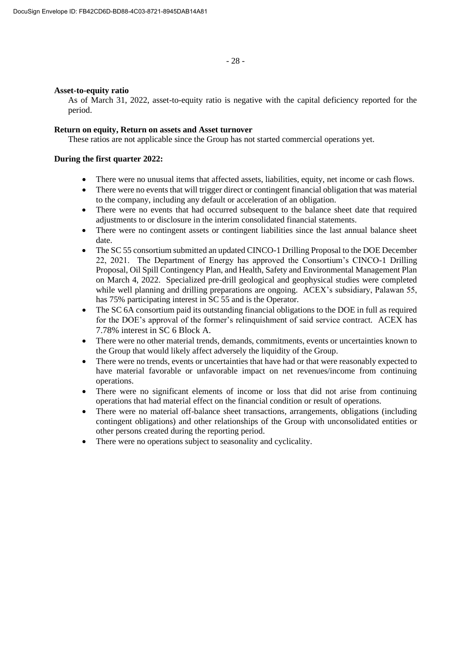#### **Asset-to-equity ratio**

As of March 31, 2022, asset-to-equity ratio is negative with the capital deficiency reported for the period.

#### **Return on equity, Return on assets and Asset turnover**

These ratios are not applicable since the Group has not started commercial operations yet.

#### **During the first quarter 2022:**

- There were no unusual items that affected assets, liabilities, equity, net income or cash flows.
- There were no events that will trigger direct or contingent financial obligation that was material to the company, including any default or acceleration of an obligation.
- There were no events that had occurred subsequent to the balance sheet date that required adjustments to or disclosure in the interim consolidated financial statements.
- There were no contingent assets or contingent liabilities since the last annual balance sheet date.
- The SC 55 consortium submitted an updated CINCO-1 Drilling Proposal to the DOE December 22, 2021. The Department of Energy has approved the Consortium's CINCO-1 Drilling Proposal, Oil Spill Contingency Plan, and Health, Safety and Environmental Management Plan on March 4, 2022. Specialized pre-drill geological and geophysical studies were completed while well planning and drilling preparations are ongoing. ACEX's subsidiary, Palawan 55, has 75% participating interest in SC 55 and is the Operator.
- The SC 6A consortium paid its outstanding financial obligations to the DOE in full as required for the DOE's approval of the former's relinquishment of said service contract. ACEX has 7.78% interest in SC 6 Block A.
- There were no other material trends, demands, commitments, events or uncertainties known to the Group that would likely affect adversely the liquidity of the Group.
- There were no trends, events or uncertainties that have had or that were reasonably expected to have material favorable or unfavorable impact on net revenues/income from continuing operations.
- There were no significant elements of income or loss that did not arise from continuing operations that had material effect on the financial condition or result of operations.
- There were no material off-balance sheet transactions, arrangements, obligations (including contingent obligations) and other relationships of the Group with unconsolidated entities or other persons created during the reporting period.
- There were no operations subject to seasonality and cyclicality.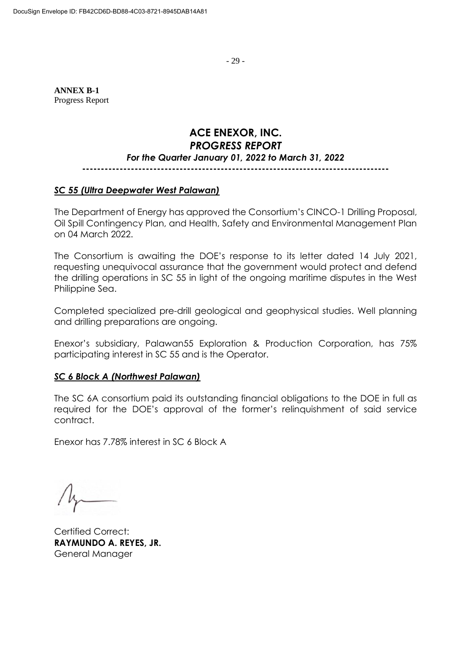- 29 -

**ANNEX B-1** Progress Report

# **ACE ENEXOR, INC.** *PROGRESS REPORT For the Quarter January 01, 2022 to March 31, 2022*

# **----------------------------------------------------------------------------------**

# *SC 55 (Ultra Deepwater West Palawan)*

The Department of Energy has approved the Consortium's CINCO-1 Drilling Proposal, Oil Spill Contingency Plan, and Health, Safety and Environmental Management Plan on 04 March 2022.

The Consortium is awaiting the DOE's response to its letter dated 14 July 2021, requesting unequivocal assurance that the government would protect and defend the drilling operations in SC 55 in light of the ongoing maritime disputes in the West Philippine Sea.

Completed specialized pre-drill geological and geophysical studies. Well planning and drilling preparations are ongoing.

Enexor's subsidiary, Palawan55 Exploration & Production Corporation, has 75% participating interest in SC 55 and is the Operator.

# *SC 6 Block A (Northwest Palawan)*

The SC 6A consortium paid its outstanding financial obligations to the DOE in full as required for the DOE's approval of the former's relinquishment of said service contract.

Enexor has 7.78% interest in SC 6 Block A

Certified Correct: **RAYMUNDO A. REYES, JR.**  General Manager